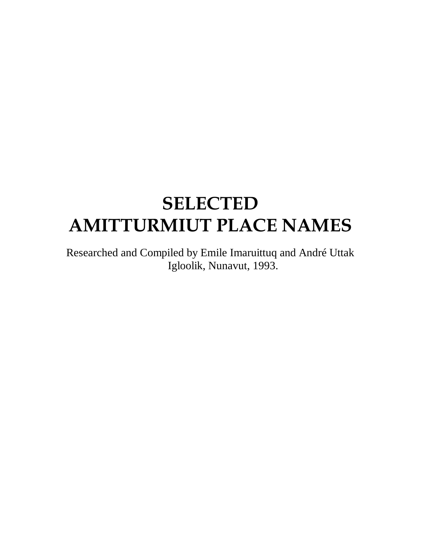# **SELECTED AMITTURMIUT PLACE NAMES**

Researched and Compiled by Emile Imaruittuq and André Uttak Igloolik, Nunavut, 1993.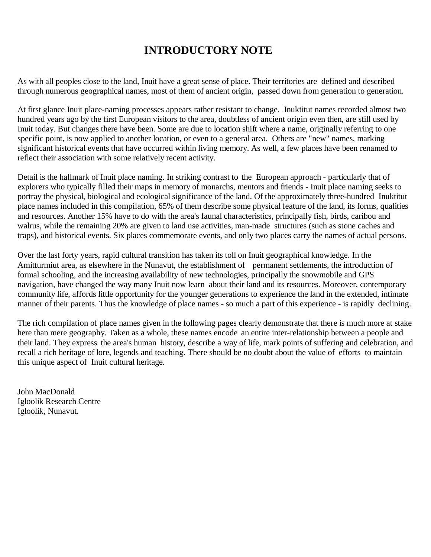# **INTRODUCTORY NOTE**

As with all peoples close to the land, Inuit have a great sense of place. Their territories are defined and described through numerous geographical names, most of them of ancient origin, passed down from generation to generation.

At first glance Inuit place-naming processes appears rather resistant to change. Inuktitut names recorded almost two hundred years ago by the first European visitors to the area, doubtless of ancient origin even then, are still used by Inuit today. But changes there have been. Some are due to location shift where a name, originally referring to one specific point, is now applied to another location, or even to a general area. Others are "new" names, marking significant historical events that have occurred within living memory. As well, a few places have been renamed to reflect their association with some relatively recent activity.

Detail is the hallmark of Inuit place naming. In striking contrast to the European approach - particularly that of explorers who typically filled their maps in memory of monarchs, mentors and friends - Inuit place naming seeks to portray the physical, biological and ecological significance of the land. Of the approximately three-hundred Inuktitut place names included in this compilation, 65% of them describe some physical feature of the land, its forms, qualities and resources. Another 15% have to do with the area's faunal characteristics, principally fish, birds, caribou and walrus, while the remaining 20% are given to land use activities, man-made structures (such as stone caches and traps), and historical events. Six places commemorate events, and only two places carry the names of actual persons.

Over the last forty years, rapid cultural transition has taken its toll on Inuit geographical knowledge. In the Amitturmiut area, as elsewhere in the Nunavut, the establishment of permanent settlements, the introduction of formal schooling, and the increasing availability of new technologies, principally the snowmobile and GPS navigation, have changed the way many Inuit now learn about their land and its resources. Moreover, contemporary community life, affords little opportunity for the younger generations to experience the land in the extended, intimate manner of their parents. Thus the knowledge of place names - so much a part of this experience - is rapidly declining.

The rich compilation of place names given in the following pages clearly demonstrate that there is much more at stake here than mere geography. Taken as a whole, these names encode an entire inter-relationship between a people and their land. They express the area's human history, describe a way of life, mark points of suffering and celebration, and recall a rich heritage of lore, legends and teaching. There should be no doubt about the value of efforts to maintain this unique aspect of Inuit cultural heritage.

John MacDonald Igloolik Research Centre Igloolik, Nunavut.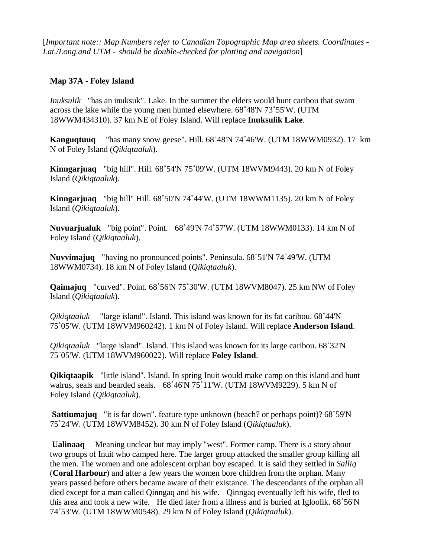[*Important note:: Map Numbers refer to Canadian Topographic Map area sheets. Coordinates - Lat./Long.and UTM - should be double-checked for plotting and navigation*]

#### **Map 37A - Foley Island**

*Inuksulik* "has an inuksuk". Lake. In the summer the elders would hunt caribou that swam across the lake while the young men hunted elsewhere. 68˚48'N 73˚55'W. (UTM 18WWM434310). 37 km NE of Foley Island. Will replace **Inuksulik Lake**.

**Kanguqtuuq** "has many snow geese". Hill. 68˚48'N 74˚46'W. (UTM 18WWM0932). 17 km N of Foley Island (*Qikiqtaaluk*).

**Kinngarjuaq** "big hill". Hill. 68˚54'N 75˚09'W. (UTM 18WVM9443). 20 km N of Foley Island (*Qikiqtaaluk*).

**Kinngarjuaq** "big hill" Hill. 68˚50'N 74˚44'W. (UTM 18WWM1135). 20 km N of Foley Island (*Qikiqtaaluk*).

**Nuvuarjualuk** "big point". Point. 68˚49'N 74˚57'W. (UTM 18WWM0133). 14 km N of Foley Island (*Qikiqtaaluk*).

**Nuvvimajuq** "having no pronounced points". Peninsula. 68˚51'N 74˚49'W. (UTM 18WWM0734). 18 km N of Foley Island (*Qikiqtaaluk*).

**Qaimajuq** "curved". Point. 68˚56'N 75˚30'W. (UTM 18WVM8047). 25 km NW of Foley Island (*Qikiqtaaluk*).

*Qikiqtaaluk* "large island". Island. This island was known for its fat caribou. 68˚44'N 75˚05'W. (UTM 18WVM960242). 1 km N of Foley Island. Will replace **Anderson Island**.

*Qikiqtaaluk* "large island". Island. This island was known for its large caribou. 68˚32'N 75˚05'W. (UTM 18WVM960022). Will replace **Foley Island**.

**Qikiqtaapik** "little island". Island. In spring Inuit would make camp on this island and hunt walrus, seals and bearded seals. 68˚46'N 75˚11'W. (UTM 18WVM9229). 5 km N of Foley Island (*Qikiqtaaluk*).

**Sattiumajuq** "it is far down". feature type unknown (beach? or perhaps point)? 68˚59'N 75˚24'W. (UTM 18WVM8452). 30 km N of Foley Island (*Qikiqtaaluk*).

**Ualinaaq** Meaning unclear but may imply "west". Former camp. There is a story about two groups of Inuit who camped here. The larger group attacked the smaller group killing all the men. The women and one adolescent orphan boy escaped. It is said they settled in *Salliq* (**Coral Harbour**) and after a few years the women bore children from the orphan. Many years passed before others became aware of their existance. The descendants of the orphan all died except for a man called Qinngaq and his wife. Qinngaq eventually left his wife, fled to this area and took a new wife. He died later from a illness and is buried at Igloolik. 68˚56'N 74˚53'W. (UTM 18WWM0548). 29 km N of Foley Island (*Qikiqtaaluk*).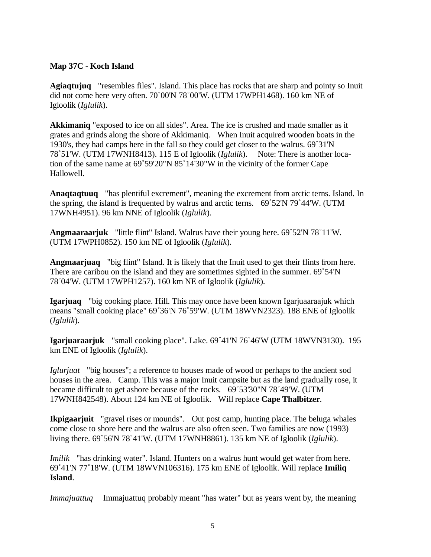#### **Map 37C - Koch Island**

**Agiaqtujuq** "resembles files". Island. This place has rocks that are sharp and pointy so Inuit did not come here very often. 70˚00'N 78˚00'W. (UTM 17WPH1468). 160 km NE of Igloolik (*Iglulik*).

**Akkimaniq** "exposed to ice on all sides". Area. The ice is crushed and made smaller as it grates and grinds along the shore of Akkimaniq. When Inuit acquired wooden boats in the 1930's, they had camps here in the fall so they could get closer to the walrus. 69˚31'N 78˚51'W. (UTM 17WNH8413). 115 E of Igloolik (*Iglulik*). Note: There is another location of the same name at 69˚59'20"N 85˚14'30"W in the vicinity of the former Cape Hallowell.

**Anaqtaqtuuq** "has plentiful excrement", meaning the excrement from arctic terns. Island. In the spring, the island is frequented by walrus and arctic terns. 69˚52'N 79˚44'W. (UTM 17WNH4951). 96 km NNE of Igloolik (*Iglulik*).

**Angmaaraarjuk** "little flint" Island. Walrus have their young here. 69˚52'N 78˚11'W. (UTM 17WPH0852). 150 km NE of Igloolik (*Iglulik*).

**Angmaarjuaq** "big flint" Island. It is likely that the Inuit used to get their flints from here. There are caribou on the island and they are sometimes sighted in the summer. 69˚54'N 78˚04'W. (UTM 17WPH1257). 160 km NE of Igloolik (*Iglulik*).

**Igarjuaq** "big cooking place. Hill. This may once have been known Igarjuaaraajuk which means "small cooking place" 69˚36'N 76˚59'W. (UTM 18WVN2323). 188 ENE of Igloolik (*Iglulik*).

**Igarjuaraarjuk** "small cooking place". Lake. 69˚41'N 76˚46'W (UTM 18WVN3130). 195 km ENE of Igloolik (*Iglulik*).

*Iglurjuat* "big houses"; a reference to houses made of wood or perhaps to the ancient sod houses in the area. Camp. This was a major Inuit campsite but as the land gradually rose, it became difficult to get ashore because of the rocks. 69˚53'30"N 78˚49'W. (UTM 17WNH842548). About 124 km NE of Igloolik. Will replace **Cape Thalbitzer**.

**Ikpigaarjuit** "gravel rises or mounds". Out post camp, hunting place. The beluga whales come close to shore here and the walrus are also often seen. Two families are now (1993) living there. 69˚56'N 78˚41'W. (UTM 17WNH8861). 135 km NE of Igloolik (*Iglulik*).

*Imilik* "has drinking water". Island. Hunters on a walrus hunt would get water from here. 69˚41'N 77˚18'W. (UTM 18WVN106316). 175 km ENE of Igloolik. Will replace **Imiliq Island**.

*Immajuattuq* Immajuattuq probably meant "has water" but as years went by, the meaning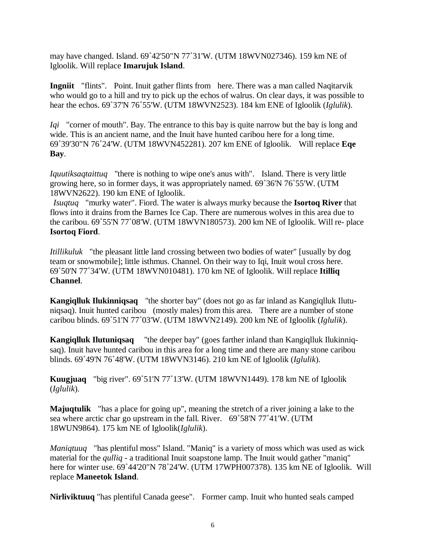may have changed. Island. 69˚42'50"N 77˚31'W. (UTM 18WVN027346). 159 km NE of Igloolik. Will replace **Imarujuk Island**.

**Ingniit** "flints". Point. Inuit gather flints from here. There was a man called Naqitarvik who would go to a hill and try to pick up the echos of walrus. On clear days, it was possible to hear the echos. 69˚37'N 76˚55'W. (UTM 18WVN2523). 184 km ENE of Igloolik (*Iglulik*).

*Iqi* "corner of mouth". Bay. The entrance to this bay is quite narrow but the bay is long and wide. This is an ancient name, and the Inuit have hunted caribou here for a long time. 69˚39'30"N 76˚24'W. (UTM 18WVN452281). 207 km ENE of Igloolik. Will replace **Eqe Bay**.

*Iquutiksaqtaittuq* "there is nothing to wipe one's anus with". Island. There is very little growing here, so in former days, it was appropriately named. 69˚36'N 76˚55'W. (UTM 18WVN2622). 190 km ENE of Igloolik.

*Isuqtuq* "murky water". Fiord. The water is always murky because the **Isortoq River** that flows into it drains from the Barnes Ice Cap. There are numerous wolves in this area due to the caribou. 69˚55'N 77˚08'W. (UTM 18WVN180573). 200 km NE of Igloolik. Will re- place **Isortoq Fiord**.

*Itillikuluk* "the pleasant little land crossing between two bodies of water" [usually by dog team or snowmobile]; little isthmus. Channel. On their way to Iqi, Inuit woul cross here. 69˚50'N 77˚34'W. (UTM 18WVN010481). 170 km NE of Igloolik. Will replace **Itilliq Channel**.

**Kangiqlluk Ilukinniqsaq** "the shorter bay" (does not go as far inland as Kangiqlluk Ilutuniqsaq). Inuit hunted caribou (mostly males) from this area. There are a number of stone caribou blinds. 69˚51'N 77˚03'W. (UTM 18WVN2149). 200 km NE of Igloolik (*Iglulik*).

**Kangiqlluk Ilutuniqsaq** "the deeper bay" (goes farther inland than Kangiqlluk Ilukinniqsaq). Inuit have hunted caribou in this area for a long time and there are many stone caribou blinds. 69˚49'N 76˚48'W. (UTM 18WVN3146). 210 km NE of Igloolik (*Iglulik*).

**Kuugjuaq** "big river". 69˚51'N 77˚13'W. (UTM 18WVN1449). 178 km NE of Igloolik (*Iglulik*).

**Majuqtulik** "has a place for going up", meaning the stretch of a river joining a lake to the sea where arctic char go upstream in the fall. River. 69˚58'N 77˚41'W. (UTM 18WUN9864). 175 km NE of Igloolik(*Iglulik*).

*Maniqtuuq* "has plentiful moss" Island. "Maniq" is a variety of moss which was used as wick material for the *qulliq* - a traditional Inuit soapstone lamp. The Inuit would gather "maniq" here for winter use. 69°44'20"N 78°24'W. (UTM 17WPH007378). 135 km NE of Igloolik. Will replace **Maneetok Island**.

**Nirliviktuuq** "has plentiful Canada geese". Former camp. Inuit who hunted seals camped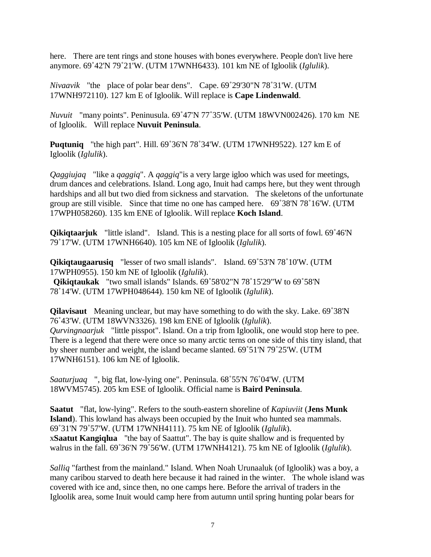here. There are tent rings and stone houses with bones everywhere. People don't live here anymore. 69˚42'N 79˚21'W. (UTM 17WNH6433). 101 km NE of Igloolik (*Iglulik*).

*Nivaavik* "the place of polar bear dens". Cape. 69˚29'30"N 78˚31'W. (UTM 17WNH972110). 127 km E of Igloolik. Will replace is **Cape Lindenwald**.

*Nuvuit* "many points". Peninusula. 69˚47'N 77˚35'W. (UTM 18WVN002426). 170 km NE of Igloolik. Will replace **Nuvuit Peninsula**.

**Puqtuniq** "the high part". Hill. 69˚36'N 78˚34'W. (UTM 17WNH9522). 127 km E of Igloolik (*Iglulik*).

*Qaggiujaq* "like a *qaggiq*". A *qaggiq*"is a very large igloo which was used for meetings, drum dances and celebrations. Island. Long ago, Inuit had camps here, but they went through hardships and all but two died from sickness and starvation. The skeletons of the unfortunate group are still visible. Since that time no one has camped here. 69˚38'N 78˚16'W. (UTM 17WPH058260). 135 km ENE of Igloolik. Will replace **Koch Island**.

**Qikiqtaarjuk** "little island". Island. This is a nesting place for all sorts of fowl. 69°46'N 79˚17'W. (UTM 17WNH6640). 105 km NE of Igloolik (*Iglulik*).

**Qikiqtaugaarusiq** "lesser of two small islands". Island. 69˚53'N 78˚10'W. (UTM 17WPH0955). 150 km NE of Igloolik (*Iglulik*). **Qikiqtaukak** "two small islands" Islands. 69˚58'02"N 78˚15'29"W to 69˚58'N 78˚14'W. (UTM 17WPH048644). 150 km NE of Igloolik (*Iglulik*).

**Qilavisaut** Meaning unclear, but may have something to do with the sky. Lake. 69˚38'N 76˚43'W. (UTM 18WVN3326). 198 km ENE of Igloolik (*Iglulik*). *Qurvingnaarjuk* "little pisspot". Island. On a trip from Igloolik, one would stop here to pee. There is a legend that there were once so many arctic terns on one side of this tiny island, that by sheer number and weight, the island became slanted. 69˚51'N 79˚25'W. (UTM 17WNH6151). 106 km NE of Igloolik.

*Saaturjuaq* ", big flat, low-lying one". Peninsula. 68˚55'N 76˚04'W. (UTM 18WVM5745). 205 km ESE of Igloolik. Official name is **Baird Peninsula**.

**Saatut** "flat, low-lying". Refers to the south-eastern shoreline of *Kapiuviit* (**Jens Munk Island**). This lowland has always been occupied by the Inuit who hunted sea mammals. 69˚31'N 79˚57'W. (UTM 17WNH4111). 75 km NE of Igloolik (*Iglulik*). x**Saatut Kangiqlua** "the bay of Saattut". The bay is quite shallow and is frequented by walrus in the fall. 69˚36'N 79˚56'W. (UTM 17WNH4121). 75 km NE of Igloolik (*Iglulik*).

*Salliq* "farthest from the mainland." Island. When Noah Urunaaluk (of Igloolik) was a boy, a many caribou starved to death here because it had rained in the winter. The whole island was covered with ice and, since then, no one camps here. Before the arrival of traders in the Igloolik area, some Inuit would camp here from autumn until spring hunting polar bears for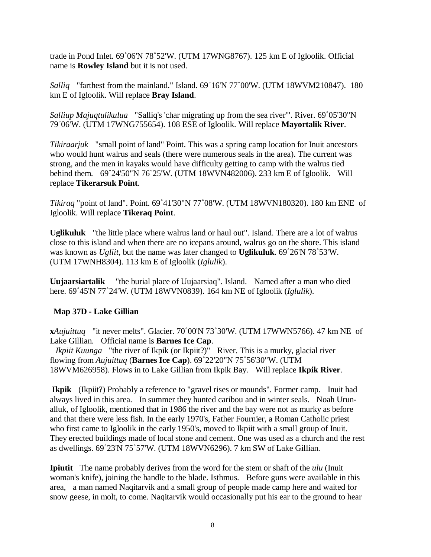trade in Pond Inlet. 69˚06'N 78˚52'W. (UTM 17WNG8767). 125 km E of Igloolik. Official name is **Rowley Island** but it is not used.

*Salliq* "farthest from the mainland." Island. 69˚16'N 77˚00'W. (UTM 18WVM210847). 180 km E of Igloolik. Will replace **Bray Island**.

*Salliup Majuqtulikulua* "Salliq's 'char migrating up from the sea river'". River. 69˚05'30"N 79˚06'W. (UTM 17WNG755654). 108 ESE of Igloolik. Will replace **Mayortalik River**.

*Tikiraarjuk* "small point of land" Point. This was a spring camp location for Inuit ancestors who would hunt walrus and seals (there were numerous seals in the area). The current was strong, and the men in kayaks would have difficulty getting to camp with the walrus tied behind them. 69˚24'50"N 76˚25'W. (UTM 18WVN482006). 233 km E of Igloolik. Will replace **Tikerarsuk Point**.

*Tikiraq* "point of land". Point. 69˚41'30"N 77˚08'W. (UTM 18WVN180320). 180 km ENE of Igloolik. Will replace **Tikeraq Point**.

**Uglikuluk** "the little place where walrus land or haul out". Island. There are a lot of walrus close to this island and when there are no icepans around, walrus go on the shore. This island was known as *Ugliit*, but the name was later changed to **Uglikuluk**. 69˚26'N 78˚53'W. (UTM 17WNH8304). 113 km E of Igloolik (*Iglulik*).

**Uujaarsiartalik** "the burial place of Uujaarsiaq". Island. Named after a man who died here. 69˚45'N 77˚24'W. (UTM 18WVN0839). 164 km NE of Igloolik (*Iglulik*).

# **Map 37D - Lake Gillian**

**x***Aujuittuq* "it never melts". Glacier. 70˚00'N 73˚30'W. (UTM 17WWN5766). 47 km NE of Lake Gillian. Official name is **Barnes Ice Cap**.

*Ikpiit Kuunga* "the river of Ikpik (or Ikpiit?)" River. This is a murky, glacial river flowing from *Aujuittuq* (**Barnes Ice Cap**). 69˚22'20"N 75˚56'30"W. (UTM 18WVM626958). Flows in to Lake Gillian from Ikpik Bay. Will replace **Ikpik River**.

**Ikpik** (Ikpiit?) Probably a reference to "gravel rises or mounds". Former camp. Inuit had always lived in this area. In summer they hunted caribou and in winter seals. Noah Urunalluk, of Igloolik, mentioned that in 1986 the river and the bay were not as murky as before and that there were less fish. In the early 1970's, Father Fournier, a Roman Catholic priest who first came to Igloolik in the early 1950's, moved to Ikpiit with a small group of Inuit. They erected buildings made of local stone and cement. One was used as a church and the rest as dwellings. 69˚23'N 75˚57'W. (UTM 18WVN6296). 7 km SW of Lake Gillian.

**Ipiutit** The name probably derives from the word for the stem or shaft of the *ulu* (Inuit woman's knife), joining the handle to the blade. Isthmus. Before guns were available in this area, a man named Naqitarvik and a small group of people made camp here and waited for snow geese, in molt, to come. Naqitarvik would occasionally put his ear to the ground to hear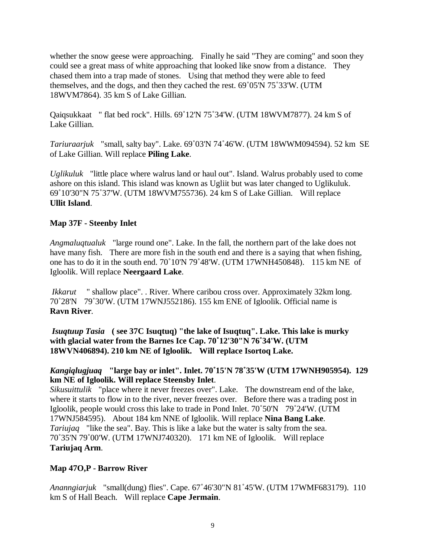whether the snow geese were approaching. Finally he said "They are coming" and soon they could see a great mass of white approaching that looked like snow from a distance. They chased them into a trap made of stones. Using that method they were able to feed themselves, and the dogs, and then they cached the rest. 69˚05'N 75˚33'W. (UTM 18WVM7864). 35 km S of Lake Gillian.

Qaiqsukkaat " flat bed rock". Hills. 69˚12'N 75˚34'W. (UTM 18WVM7877). 24 km S of Lake Gillian.

*Tariuraarjuk* "small, salty bay". Lake. 69˚03'N 74˚46'W. (UTM 18WWM094594). 52 km SE of Lake Gillian. Will replace **Piling Lake**.

*Uglikuluk* "little place where walrus land or haul out". Island. Walrus probably used to come ashore on this island. This island was known as Ugliit but was later changed to Uglikuluk. 69˚10'30"N 75˚37'W. (UTM 18WVM755736). 24 km S of Lake Gillian. Will replace **Ullit Island**.

#### **Map 37F - Steenby Inlet**

*Angmaluqtualuk* "large round one". Lake. In the fall, the northern part of the lake does not have many fish. There are more fish in the south end and there is a saying that when fishing, one has to do it in the south end. 70˚10'N 79˚48'W. (UTM 17WNH450848). 115 km NE of Igloolik. Will replace **Neergaard Lake**.

*Ikkarut* " shallow place". . River. Where caribou cross over. Approximately 32km long. 70˚28'N 79˚30'W. (UTM 17WNJ552186). 155 km ENE of Igloolik. Official name is **Ravn River**.

*Isuqtuup Tasia* **( see 37C Isuqtuq) "the lake of Isuqtuq". Lake. This lake is murky with glacial water from the Barnes Ice Cap. 70**˚**12'30"N 76**˚**34'W. (UTM 18WVN406894). 210 km NE of Igloolik. Will replace Isortoq Lake.** 

#### *Kangiqlugjuaq* **"large bay or inlet". Inlet. 70**˚**15'N 78**˚**35'W (UTM 17WNH905954). 129 km NE of Igloolik. Will replace Steensby Inlet**.

*Sikusuittulik* "place where it never freezes over". Lake. The downstream end of the lake, where it starts to flow in to the river, never freezes over. Before there was a trading post in Igloolik, people would cross this lake to trade in Pond Inlet. 70˚50'N 79˚24'W. (UTM 17WNJ584595). About 184 km NNE of Igloolik. Will replace **Nina Bang Lake**. *Tariujaq* "like the sea". Bay. This is like a lake but the water is salty from the sea. 70˚35'N 79˚00'W. (UTM 17WNJ740320). 171 km NE of Igloolik. Will replace **Tariujaq Arm**.

# **Map 47O,P - Barrow River**

*Ananngiarjuk* "small(dung) flies". Cape. 67˚46'30"N 81˚45'W. (UTM 17WMF683179). 110 km S of Hall Beach. Will replace **Cape Jermain**.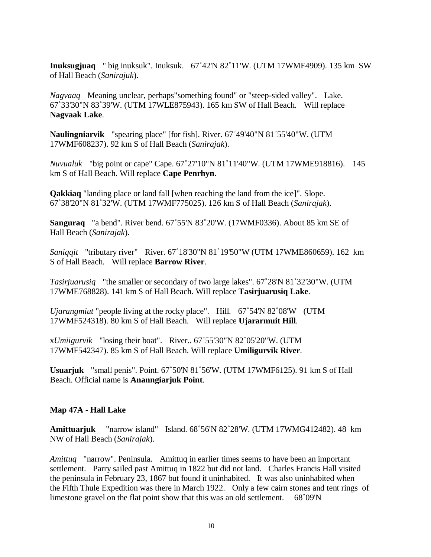**Inuksugjuaq** " big inuksuk". Inuksuk. 67˚42'N 82˚11'W. (UTM 17WMF4909). 135 km SW of Hall Beach (*Sanirajuk*).

*Nagvaaq* Meaning unclear, perhaps"something found" or "steep-sided valley". Lake. 67˚33'30"N 83˚39'W. (UTM 17WLE875943). 165 km SW of Hall Beach. Will replace **Nagvaak Lake**.

**Naulingniarvik** "spearing place" [for fish]. River. 67˚49'40"N 81˚55'40"W. (UTM 17WMF608237). 92 km S of Hall Beach (*Sanirajak*).

*Nuvualuk* "big point or cape" Cape. 67˚27'10"N 81˚11'40"W. (UTM 17WME918816). 145 km S of Hall Beach. Will replace **Cape Penrhyn**.

**Qakkiaq** "landing place or land fall [when reaching the land from the ice]". Slope. 67˚38'20"N 81˚32'W. (UTM 17WMF775025). 126 km S of Hall Beach (*Sanirajak*).

**Sanguraq** "a bend". River bend. 67˚55'N 83˚20'W. (17WMF0336). About 85 km SE of Hall Beach (*Sanirajak*).

*Saniqqit* "tributary river" River. 67˚18'30"N 81˚19'50"W (UTM 17WME860659). 162 km S of Hall Beach. Will replace **Barrow River**.

*Tasirjuarusiq* "the smaller or secondary of two large lakes". 67˚28'N 81˚32'30"W. (UTM 17WME768828). 141 km S of Hall Beach. Will replace **Tasirjuarusiq Lake**.

*Ujarangmiut* "people living at the rocky place". Hill. 67˚54'N 82˚08'W (UTM 17WMF524318). 80 km S of Hall Beach. Will replace **Ujararmuit Hill**.

x*Umiigurvik* "losing their boat". River.. 67˚55'30"N 82˚05'20"W. (UTM 17WMF542347). 85 km S of Hall Beach. Will replace **Umiligurvik River**.

**Usuarjuk** "small penis". Point. 67˚50'N 81˚56'W. (UTM 17WMF6125). 91 km S of Hall Beach. Official name is **Ananngiarjuk Point**.

#### **Map 47A - Hall Lake**

**Amittuarjuk** "narrow island" Island. 68˚56'N 82˚28'W. (UTM 17WMG412482). 48 km NW of Hall Beach (*Sanirajak*).

*Amittuq* "narrow". Peninsula. Amittuq in earlier times seems to have been an important settlement. Parry sailed past Amittuq in 1822 but did not land. Charles Francis Hall visited the peninsula in February 23, 1867 but found it uninhabited. It was also uninhabited when the Fifth Thule Expedition was there in March 1922. Only a few cairn stones and tent rings of limestone gravel on the flat point show that this was an old settlement. 68˚09'N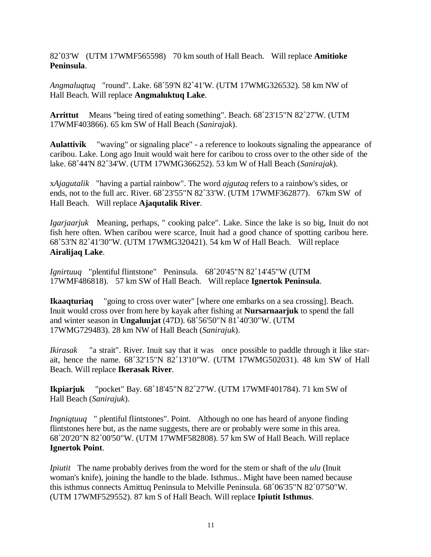82˚03'W (UTM 17WMF565598) 70 km south of Hall Beach. Will replace **Amitioke Peninsula**.

*Angmaluqtuq* "round". Lake. 68˚59'N 82˚41'W. (UTM 17WMG326532). 58 km NW of Hall Beach. Will replace **Angmaluktuq Lake**.

**Arrittut** Means "being tired of eating something". Beach. 68˚23'15"N 82˚27'W. (UTM 17WMF403866). 65 km SW of Hall Beach (*Sanirajak*).

**Aulattivik** "waving" or signaling place" - a reference to lookouts signaling the appearance of caribou. Lake. Long ago Inuit would wait here for caribou to cross over to the other side of the lake. 68˚44'N 82˚34'W. (UTM 17WMG366252). 53 km W of Hall Beach (*Sanirajak*).

x*Ajagutalik* "having a partial rainbow". The word *ajgutaq* refers to a rainbow's sides, or ends, not to the full arc. River. 68˚23'55"N 82˚33'W. (UTM 17WMF362877). 67km SW of Hall Beach. Will replace **Ajaqutalik River**.

*Igarjaarjuk* Meaning, perhaps, " cooking palce". Lake. Since the lake is so big, Inuit do not fish here often. When caribou were scarce, Inuit had a good chance of spotting caribou here. 68˚53'N 82˚41'30"W. (UTM 17WMG320421). 54 km W of Hall Beach. Will replace **Airalijaq Lake**.

*Ignirtuuq* "plentiful flintstone" Peninsula. 68˚20'45"N 82˚14'45"W (UTM 17WMF486818). 57 km SW of Hall Beach. Will replace **Ignertok Peninsula**.

**Ikaaqturiaq** "going to cross over water" [where one embarks on a sea crossing]. Beach. Inuit would cross over from here by kayak after fishing at **Nursarnaarjuk** to spend the fall and winter season in **Ungaluujat** (47D). 68˚56'50"N 81˚40'30"W. (UTM 17WMG729483). 28 km NW of Hall Beach (*Sanirajuk*).

*Ikirasak* "a strait". River. Inuit say that it was once possible to paddle through it like starait, hence the name. 68˚32'15"N 82˚13'10"W. (UTM 17WMG502031). 48 km SW of Hall Beach. Will replace **Ikerasak River**.

**Ikpiarjuk** "pocket" Bay. 68˚18'45"N 82˚27'W. (UTM 17WMF401784). 71 km SW of Hall Beach (*Sanirajuk*).

*Ingniqtuuq* " plentiful flintstones". Point. Although no one has heard of anyone finding flintstones here but, as the name suggests, there are or probably were some in this area. 68˚20'20"N 82˚00'50"W. (UTM 17WMF582808). 57 km SW of Hall Beach. Will replace **Ignertok Point**.

*Ipiutit* The name probably derives from the word for the stem or shaft of the *ulu* (Inuit woman's knife), joining the handle to the blade. Isthmus.. Might have been named because this isthmus connects Amittuq Peninsula to Melville Peninsula. 68˚06'35"N 82˚07'50"W. (UTM 17WMF529552). 87 km S of Hall Beach. Will replace **Ipiutit Isthmus**.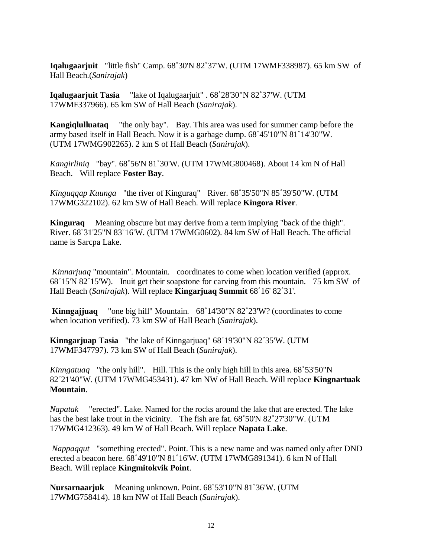**Iqalugaarjuit** "little fish" Camp. 68˚30'N 82˚37'W. (UTM 17WMF338987). 65 km SW of Hall Beach.(*Sanirajak*)

**Iqalugaarjuit Tasia** "lake of Iqalugaarjuit" . 68˚28'30"N 82˚37'W. (UTM 17WMF337966). 65 km SW of Hall Beach (*Sanirajak*).

**Kangiqlulluataq** "the only bay". Bay. This area was used for summer camp before the army based itself in Hall Beach. Now it is a garbage dump. 68˚45'10"N 81˚14'30"W. (UTM 17WMG902265). 2 km S of Hall Beach (*Sanirajak*).

*Kangirliniq* "bay". 68˚56'N 81˚30'W. (UTM 17WMG800468). About 14 km N of Hall Beach. Will replace **Foster Bay**.

*Kinguqqap Kuunga* "the river of Kinguraq" River. 68˚35'50"N 85˚39'50"W. (UTM 17WMG322102). 62 km SW of Hall Beach. Will replace **Kingora River**.

**Kinguraq** Meaning obscure but may derive from a term implying "back of the thigh". River. 68˚31'25"N 83˚16'W. (UTM 17WMG0602). 84 km SW of Hall Beach. The official name is Sarcpa Lake.

*Kinnarjuaq* "mountain". Mountain. coordinates to come when location verified (approx. 68˚15'N 82˚15'W). Inuit get their soapstone for carving from this mountain. 75 km SW of Hall Beach (*Sanirajak*). Will replace **Kingarjuaq Summit** 68˚16' 82˚31'.

**Kinngajjuaq** "one big hill" Mountain. 68˚14'30"N 82˚23'W? (coordinates to come when location verified). 73 km SW of Hall Beach (*Sanirajak*).

**Kinngarjuap Tasia** "the lake of Kinngarjuaq" 68˚19'30"N 82˚35'W. (UTM 17WMF347797). 73 km SW of Hall Beach (*Sanirajak*).

*Kinngatuaq* "the only hill". Hill. This is the only high hill in this area. 68˚53'50"N 82˚21'40"W. (UTM 17WMG453431). 47 km NW of Hall Beach. Will replace **Kingnartuak Mountain**.

*Napatak* "erected". Lake. Named for the rocks around the lake that are erected. The lake has the best lake trout in the vicinity. The fish are fat. 68˚50'N 82˚27'30"W. (UTM 17WMG412363). 49 km W of Hall Beach. Will replace **Napata Lake**.

*Nappaqqut* "something erected". Point. This is a new name and was named only after DND erected a beacon here. 68˚49'10"N 81˚16'W. (UTM 17WMG891341). 6 km N of Hall Beach. Will replace **Kingmitokvik Point**.

**Nursarnaarjuk** Meaning unknown. Point. 68˚53'10"N 81˚36'W. (UTM 17WMG758414). 18 km NW of Hall Beach (*Sanirajak*).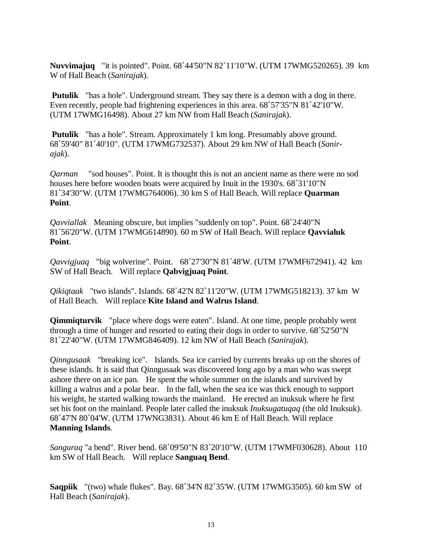**Nuvvimajuq** "it is pointed". Point. 68˚44'50"N 82˚11'10"W. (UTM 17WMG520265). 39 km W of Hall Beach (*Sanirajak*).

**Putulik** "has a hole". Underground stream. They say there is a demon with a dog in there. Even recently, people had frightening experiences in this area. 68˚57'35"N 81˚42'10"W. (UTM 17WMG16498). About 27 km NW from Hall Beach (*Sanirajak*).

**Putulik** "has a hole". Stream. Approximately 1 km long. Presumably above ground. 68˚59'40" 81˚40'10". (UTM 17WMG732537). About 29 km NW of Hall Beach (*Sanirajak*).

*Qarman* "sod houses". Point. It is thought this is not an ancient name as there were no sod houses here before wooden boats were acquired by Inuit in the 1930's. 68˚31'10"N 81˚34'30"W. (UTM 17WMG764006). 30 km S of Hall Beach. Will replace **Quarman Point**.

*Qavviallak* Meaning obscure, but implies "suddenly on top". Point. 68˚24'40"N 81˚56'20"W. (UTM 17WMG614890). 60 m SW of Hall Beach. Will replace **Qavvialuk Point**.

*Qavvigjuaq* "big wolverine". Point. 68˚27'30"N 81˚48'W. (UTM 17WMF672941). 42 km SW of Hall Beach. Will replace **Qabvigjuaq Point**.

*Qikiqtaak* "two islands". Islands. 68˚42'N 82˚11'20"W. (UTM 17WMG518213). 37 km W of Hall Beach. Will replace **Kite Island and Walrus Island**.

**Qimmiqturvik** "place where dogs were eaten". Island. At one time, people probably went through a time of hunger and resorted to eating their dogs in order to survive. 68˚52'50"N 81˚22'40"W. (UTM 17WMG846409). 12 km NW of Hall Beach (*Sanirajak*).

*Qinngusaak* "breaking ice". Islands. Sea ice carried by currents breaks up on the shores of these islands. It is said that Qinngusaak was discovered long ago by a man who was swept ashore there on an ice pan. He spent the whole summer on the islands and survived by killing a walrus and a polar bear. In the fall, when the sea ice was thick enough to support his weight, he started walking towards the mainland. He erected an inuksuk where he first set his foot on the mainland. People later called the inuksuk *Inuksugatuqaq* (the old Inuksuk). 68˚47'N 80˚04'W. (UTM 17WNG3831). About 46 km E of Hall Beach. Will replace **Manning Islands**.

*Sanguraq* "a bend". River bend. 68˚09'50"N 83˚20'10"W. (UTM 17WMF030628). About 110 km SW of Hall Beach. Will replace **Sanguaq Bend**.

**Saqpiik** "(two) whale flukes". Bay. 68˚34'N 82˚35'W. (UTM 17WMG3505). 60 km SW of Hall Beach (*Sanirajak*).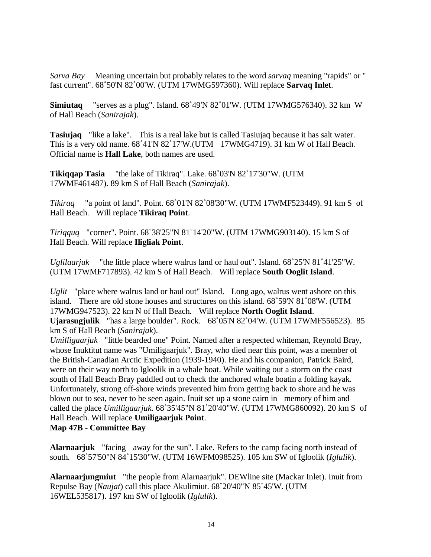*Sarva Bay* Meaning uncertain but probably relates to the word *sarvaq* meaning "rapids" or " fast current". 68˚50'N 82˚00'W. (UTM 17WMG597360). Will replace **Sarvaq Inlet**.

**Simiutaq** "serves as a plug". Island. 68˚49'N 82˚01'W. (UTM 17WMG576340). 32 km W of Hall Beach (*Sanirajak*).

**Tasiujaq** "like a lake". This is a real lake but is called Tasiujaq because it has salt water. This is a very old name. 68˚41'N 82˚17'W.(UTM 17WMG4719). 31 km W of Hall Beach. Official name is **Hall Lake**, both names are used.

**Tikiqqap Tasia** "the lake of Tikiraq". Lake. 68˚03'N 82˚17'30"W. (UTM 17WMF461487). 89 km S of Hall Beach (*Sanirajak*).

*Tikiraq* "a point of land". Point. 68˚01'N 82˚08'30"W. (UTM 17WMF523449). 91 km S of Hall Beach. Will replace **Tikiraq Point**.

*Tiriqquq* "corner". Point. 68˚38'25"N 81˚14'20"W. (UTM 17WMG903140). 15 km S of Hall Beach. Will replace **Iligliak Point**.

*Uglilaarjuk* "the little place where walrus land or haul out". Island. 68˚25'N 81˚41'25"W. (UTM 17WMF717893). 42 km S of Hall Beach. Will replace **South Ooglit Island**.

*Uglit* "place where walrus land or haul out" Island. Long ago, walrus went ashore on this island. There are old stone houses and structures on this island. 68˚59'N 81˚08'W. (UTM 17WMG947523). 22 km N of Hall Beach. Will replace **North Ooglit Island**. **Ujarasugjulik** "has a large boulder". Rock. 68˚05'N 82˚04'W. (UTM 17WMF556523). 85

km S of Hall Beach (*Sanirajak*). *Umilligaarjuk* "little bearded one" Point. Named after a respected whiteman, Reynold Bray, whose Inuktitut name was "Umiligaarjuk". Bray, who died near this point, was a member of the British-Canadian Arctic Expedition (1939-1940). He and his companion, Patrick Baird, were on their way north to Igloolik in a whale boat. While waiting out a storm on the coast south of Hall Beach Bray paddled out to check the anchored whale boatin a folding kayak. Unfortunately, strong off-shore winds prevented him from getting back to shore and he was blown out to sea, never to be seen again. Inuit set up a stone cairn in memory of him and called the place *Umilligaarjuk*. 68˚35'45"N 81˚20'40"W. (UTM 17WMG860092). 20 km S of Hall Beach. Will replace **Umiligaarjuk Point**.

#### **Map 47B - Committee Bay**

**Alarnaarjuk** "facing away for the sun". Lake. Refers to the camp facing north instead of south. 68˚57'50"N 84˚15'30"W. (UTM 16WFM098525). 105 km SW of Igloolik (*Iglulik*).

**Alarnaarjungmiut** "the people from Alarnaarjuk". DEWline site (Mackar Inlet). Inuit from Repulse Bay (*Naujat*) call this place Akulimiut. 68˚20'40"N 85˚45'W. (UTM 16WEL535817). 197 km SW of Igloolik (*Iglulik*).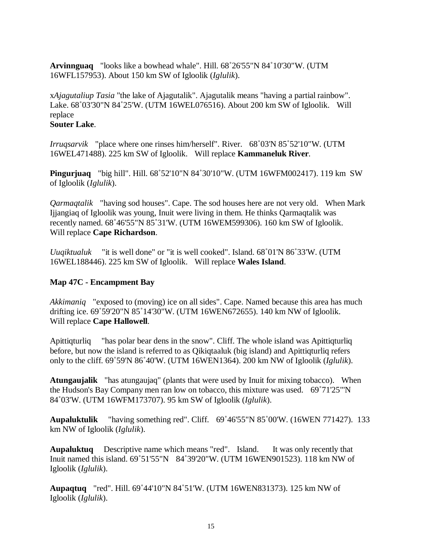**Arvinnguaq** "looks like a bowhead whale". Hill. 68˚26'55"N 84˚10'30"W. (UTM 16WFL157953). About 150 km SW of Igloolik (*Iglulik*).

x*Ajagutaliup Tasia* "the lake of Ajagutalik". Ajagutalik means "having a partial rainbow". Lake. 68˚03'30"N 84˚25'W. (UTM 16WEL076516). About 200 km SW of Igloolik. Will replace

#### **Souter Lake**.

*Irruqsarvik* "place where one rinses him/herself". River. 68˚03'N 85˚52'10"W. (UTM 16WEL471488). 225 km SW of Igloolik. Will replace **Kammaneluk River**.

**Pingurjuaq** "big hill". Hill. 68˚52'10"N 84˚30'10"W. (UTM 16WFM002417). 119 km SW of Igloolik (*Iglulik*).

*Qarmaqtalik* "having sod houses". Cape. The sod houses here are not very old. When Mark Ijjangiaq of Igloolik was young, Inuit were living in them. He thinks Qarmaqtalik was recently named. 68˚46'55"N 85˚31'W. (UTM 16WEM599306). 160 km SW of Igloolik. Will replace **Cape Richardson**.

*Uuqiktualuk* "it is well done" or "it is well cooked". Island. 68˚01'N 86˚33'W. (UTM 16WEL188446). 225 km SW of Igloolik. Will replace **Wales Island**.

#### **Map 47C - Encampment Bay**

*Akkimaniq* "exposed to (moving) ice on all sides". Cape. Named because this area has much drifting ice. 69˚59'20"N 85˚14'30"W. (UTM 16WEN672655). 140 km NW of Igloolik. Will replace **Cape Hallowell**.

Apittiqturliq "has polar bear dens in the snow". Cliff. The whole island was Apittiqturliq before, but now the island is referred to as Qikiqtaaluk (big island) and Apittiqturliq refers only to the cliff. 69˚59'N 86˚40'W. (UTM 16WEN1364). 200 km NW of Igloolik (*Iglulik*).

**Atungaujalik** "has atungaujaq" (plants that were used by Inuit for mixing tobacco). When the Hudson's Bay Company men ran low on tobacco, this mixture was used. 69˚71'25"'N 84˚03'W. (UTM 16WFM173707). 95 km SW of Igloolik (*Iglulik*).

**Aupaluktulik** "having something red". Cliff. 69˚46'55"N 85˚00'W. (16WEN 771427). 133 km NW of Igloolik (*Iglulik*).

**Aupaluktuq** Descriptive name which means "red". Island. It was only recently that Inuit named this island. 69˚51'55"N 84˚39'20"W. (UTM 16WEN901523). 118 km NW of Igloolik (*Iglulik*).

**Aupaqtuq** "red". Hill. 69˚44'10"N 84˚51'W. (UTM 16WEN831373). 125 km NW of Igloolik (*Iglulik*).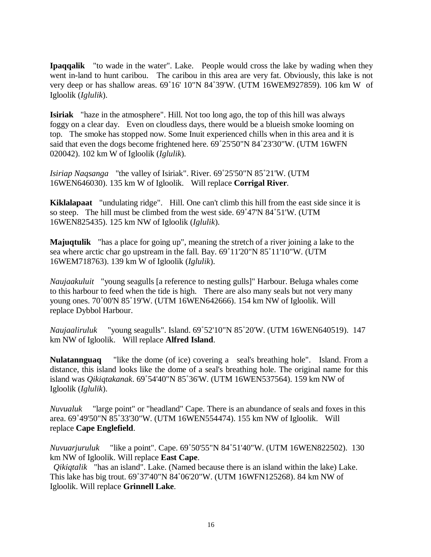**Ipaqqalik** "to wade in the water". Lake. People would cross the lake by wading when they went in-land to hunt caribou. The caribou in this area are very fat. Obviously, this lake is not very deep or has shallow areas. 69˚16' 10"N 84˚39'W. (UTM 16WEM927859). 106 km W of Igloolik (*Iglulik*).

**Isiriak** "haze in the atmosphere". Hill. Not too long ago, the top of this hill was always foggy on a clear day. Even on cloudless days, there would be a blueish smoke looming on top. The smoke has stopped now. Some Inuit experienced chills when in this area and it is said that even the dogs become frightened here. 69˚25'50"N 84˚23'30"W. (UTM 16WFN 020042). 102 km W of Igloolik (*Iglulik*).

*Isiriap Naqsanga* "the valley of Isiriak". River. 69˚25'50"N 85˚21'W. (UTM 16WEN646030). 135 km W of Igloolik. Will replace **Corrigal River**.

**Kiklalapaat** "undulating ridge". Hill. One can't climb this hill from the east side since it is so steep. The hill must be climbed from the west side. 69˚47'N 84˚51'W. (UTM 16WEN825435). 125 km NW of Igloolik (*Iglulik*).

**Majuqtulik** "has a place for going up", meaning the stretch of a river joining a lake to the sea where arctic char go upstream in the fall. Bay. 69˚11'20"N 85˚11'10"W. (UTM 16WEM718763). 139 km W of Igloolik (*Iglulik*).

*Naujaakuluit* "young seagulls [a reference to nesting gulls]" Harbour. Beluga whales come to this harbour to feed when the tide is high. There are also many seals but not very many young ones. 70˚00'N 85˚19'W. (UTM 16WEN642666). 154 km NW of Igloolik. Will replace Dybbol Harbour.

*Naujaaliruluk* "young seagulls". Island. 69˚52'10"N 85˚20'W. (UTM 16WEN640519). 147 km NW of Igloolik. Will replace **Alfred Island**.

**Nulatannguaq** "like the dome (of ice) covering a seal's breathing hole". Island. From a distance, this island looks like the dome of a seal's breathing hole. The original name for this island was *Qikiqtakanak*. 69˚54'40"N 85˚36'W. (UTM 16WEN537564). 159 km NW of Igloolik (*Iglulik*).

*Nuvualuk* "large point" or "headland" Cape. There is an abundance of seals and foxes in this area. 69˚49'50"N 85˚33'30"W. (UTM 16WEN554474). 155 km NW of Igloolik. Will replace **Cape Englefield**.

*Nuvuarjuruluk* "like a point". Cape. 69˚50'55"N 84˚51'40"W. (UTM 16WEN822502). 130 km NW of Igloolik. Will replace **East Cape**.

*Qikiqtalik* "has an island". Lake. (Named because there is an island within the lake) Lake. This lake has big trout. 69˚37'40"N 84˚06'20"W. (UTM 16WFN125268). 84 km NW of Igloolik. Will replace **Grinnell Lake**.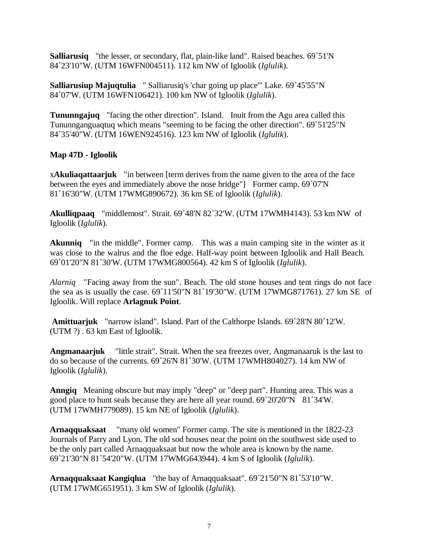**Salliarusiq** "the lesser, or secondary, flat, plain-like land". Raised beaches. 69˚51'N 84˚23'10"W. (UTM 16WFN004511). 112 km NW of Igloolik (*Iglulik*).

**Salliarusiup Majuqtulia** " Salliarusiq's 'char going up place'" Lake. 69˚45'55"N 84˚07'W. (UTM 16WFN106421). 100 km NW of Igloolik (*Iglulik*).

**Tununngajuq** "facing the other direction". Island. Inuit from the Agu area called this Tununnganguaqtuq which means "seeming to be facing the other direction". 69˚51'25"N 84˚35'40"W. (UTM 16WEN924516). 123 km NW of Igloolik (*Iglulik*).

#### **Map 47D - Igloolik**

x**Akuliaqattaarjuk** "in between [term derives from the name given to the area of the face between the eyes and immediately above the nose bridge"] Former camp. 69˚07'N 81˚16'30"W. (UTM 17WMG890672). 36 km SE of Igloolik (*Iglulik*).

**Akulliqpaaq** "middlemost". Strait. 69˚48'N 82˚32'W. (UTM 17WMH4143). 53 km NW of Igloolik (*Iglulik*).

**Akunniq** "in the middle". Former camp. This was a main camping site in the winter as it was close to the walrus and the floe edge. Half-way point between Igloolik and Hall Beach. 69˚01'20"N 81˚30'W. (UTM 17WMG800564). 42 km S of Igloolik (*Iglulik*).

*Alarniq* "Facing away from the sun". Beach. The old stone houses and tent rings do not face the sea as is usually the case. 69˚11'50"N 81˚19'30"W. (UTM 17WMG871761). 27 km SE of Igloolik. Will replace **Arlagnuk Point**.

**Amittuarjuk** "narrow island". Island. Part of the Calthorpe Islands. 69˚28'N 80˚12'W. (UTM ?) . 63 km East of Igloolik.

**Angmanaarjuk** "little strait". Strait. When the sea freezes over, Angmanaaruk is the last to do so because of the currents. 69˚26'N 81˚30'W. (UTM 17WMH804027). 14 km NW of Igloolik (*Iglulik*).

**Anngiq** Meaning obscure but may imply "deep" or "deep part". Hunting area. This was a good place to hunt seals because they are here all year round. 69˚20'20"N 81˚34'W. (UTM 17WMH779089). 15 km NE of Igloolik (*Iglulik*).

**Arnaqquaksaat** "many old women" Former camp. The site is mentioned in the 1822-23 Journals of Parry and Lyon. The old sod houses near the point on the southwest side used to be the only part called Arnaqquaksaat but now the whole area is known by the name. 69˚21'30"N 81˚54'20"W. (UTM 17WMG643944). 4 km S of Igloolik (*Iglulik*).

**Arnaqquaksaat Kangiqlua** "the bay of Arnaqquaksaat". 69˚21'50"N 81˚53'10"W. (UTM 17WMG651951). 3 km SW of Igloolik (*Iglulik*).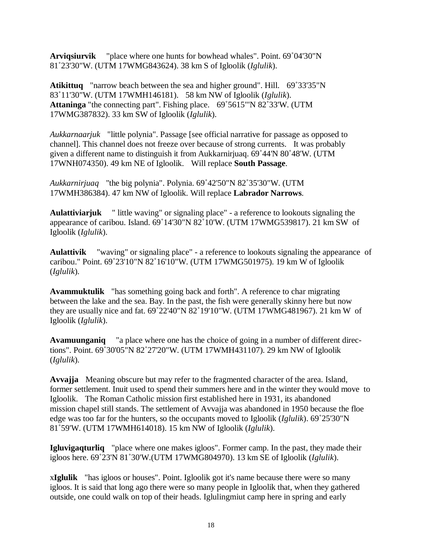**Arviqsiurvik** "place where one hunts for bowhead whales". Point. 69˚04'30"N 81˚23'30"W. (UTM 17WMG843624). 38 km S of Igloolik (*Iglulik*).

**Atikittuq** "narrow beach between the sea and higher ground". Hill. 69˚33'35"N 83˚11'30"W. (UTM 17WMH146181). 58 km NW of Igloolik (*Iglulik*). **Attaninga** "the connecting part". Fishing place. 69˚5615"'N 82˚33'W. (UTM 17WMG387832). 33 km SW of Igloolik (*Iglulik*).

*Aukkarnaarjuk* "little polynia". Passage [see official narrative for passage as opposed to channel]. This channel does not freeze over because of strong currents. It was probably given a different name to distinguish it from Aukkarnirjuaq. 69˚44'N 80˚48'W. (UTM 17WNH074350). 49 km NE of Igloolik. Will replace **South Passage**.

*Aukkarnirjuaq* "the big polynia". Polynia. 69˚42'50"N 82˚35'30"W. (UTM 17WMH386384). 47 km NW of Igloolik. Will replace **Labrador Narrows**.

**Aulattiviarjuk** " little waving" or signaling place" - a reference to lookouts signaling the appearance of caribou. Island. 69˚14'30"N 82˚10'W. (UTM 17WMG539817). 21 km SW of Igloolik (*Iglulik*).

**Aulattivik** "waving" or signaling place" - a reference to lookouts signaling the appearance of caribou." Point. 69˚23'10"N 82˚16'10"W. (UTM 17WMG501975). 19 km W of Igloolik (*Iglulik*).

**Avammuktulik** "has something going back and forth". A reference to char migrating between the lake and the sea. Bay. In the past, the fish were generally skinny here but now they are usually nice and fat. 69˚22'40"N 82˚19'10"W. (UTM 17WMG481967). 21 km W of Igloolik (*Iglulik*).

**Avamuunganiq** "a place where one has the choice of going in a number of different directions". Point. 69˚30'05"N 82˚27'20"W. (UTM 17WMH431107). 29 km NW of Igloolik (*Iglulik*).

**Avvajja** Meaning obscure but may refer to the fragmented character of the area. Island, former settlement. Inuit used to spend their summers here and in the winter they would move to Igloolik. The Roman Catholic mission first established here in 1931, its abandoned mission chapel still stands. The settlement of Avvajja was abandoned in 1950 because the floe edge was too far for the hunters, so the occupants moved to Igloolik (*Iglulik*). 69˚25'30"N 81˚59'W. (UTM 17WMH614018). 15 km NW of Igloolik (*Iglulik*).

**Igluvigaqturliq** "place where one makes igloos". Former camp. In the past, they made their igloos here. 69˚23'N 81˚30'W.(UTM 17WMG804970). 13 km SE of Igloolik (*Iglulik*).

x**Iglulik** "has igloos or houses". Point. Igloolik got it's name because there were so many igloos. It is said that long ago there were so many people in Igloolik that, when they gathered outside, one could walk on top of their heads. Iglulingmiut camp here in spring and early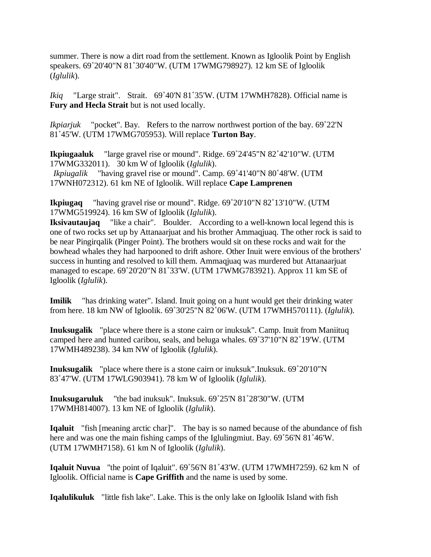summer. There is now a dirt road from the settlement. Known as Igloolik Point by English speakers. 69˚20'40"N 81˚30'40"W. (UTM 17WMG798927). 12 km SE of Igloolik (*Iglulik*).

*Ikiq* "Large strait". Strait. 69˚40'N 81˚35'W. (UTM 17WMH7828). Official name is **Fury and Hecla Strait** but is not used locally.

*Ikpiarjuk* "pocket". Bay. Refers to the narrow northwest portion of the bay. 69˚22'N 81˚45'W. (UTM 17WMG705953). Will replace **Turton Bay**.

**Ikpiugaaluk** "large gravel rise or mound". Ridge. 69˚24'45"N 82˚42'10"W. (UTM 17WMG332011). 30 km W of Igloolik (*Iglulik*). *Ikpiugalik* "having gravel rise or mound". Camp. 69˚41'40"N 80˚48'W. (UTM 17WNH072312). 61 km NE of Igloolik. Will replace **Cape Lamprenen**

**Ikpiugaq** "having gravel rise or mound". Ridge. 69˚20'10"N 82˚13'10"W. (UTM 17WMG519924). 16 km SW of Igloolik (*Iglulik*).

**Iksivautaujaq** "like a chair". Boulder. According to a well-known local legend this is one of two rocks set up by Attanaarjuat and his brother Ammaqjuaq. The other rock is said to be near Pingirqalik (Pinger Point). The brothers would sit on these rocks and wait for the bowhead whales they had harpooned to drift ashore. Other Inuit were envious of the brothers' success in hunting and resolved to kill them. Ammaqjuaq was murdered but Attanaarjuat managed to escape. 69˚20'20"N 81˚33'W. (UTM 17WMG783921). Approx 11 km SE of Igloolik (*Iglulik*).

**Imilik** "has drinking water". Island. Inuit going on a hunt would get their drinking water from here. 18 km NW of Igloolik. 69˚30'25"N 82˚06'W. (UTM 17WMH570111). (*Iglulik*).

**Inuksugalik** "place where there is a stone cairn or inuksuk". Camp. Inuit from Maniituq camped here and hunted caribou, seals, and beluga whales. 69˚37'10"N 82˚19'W. (UTM 17WMH489238). 34 km NW of Igloolik (*Iglulik*).

**Inuksugalik** "place where there is a stone cairn or inuksuk".Inuksuk. 69˚20'10"N 83˚47'W. (UTM 17WLG903941). 78 km W of Igloolik (*Iglulik*).

**Inuksugaruluk** "the bad inuksuk". Inuksuk. 69˚25'N 81˚28'30"W. (UTM 17WMH814007). 13 km NE of Igloolik (*Iglulik*).

**Iqaluit** "fish [meaning arctic char]". The bay is so named because of the abundance of fish here and was one the main fishing camps of the Iglulingmiut. Bay. 69˚56'N 81˚46'W. (UTM 17WMH7158). 61 km N of Igloolik (*Iglulik*).

**Iqaluit Nuvua** "the point of Iqaluit". 69˚56'N 81˚43'W. (UTM 17WMH7259). 62 km N of Igloolik. Official name is **Cape Griffith** and the name is used by some.

**Iqalulikuluk** "little fish lake". Lake. This is the only lake on Igloolik Island with fish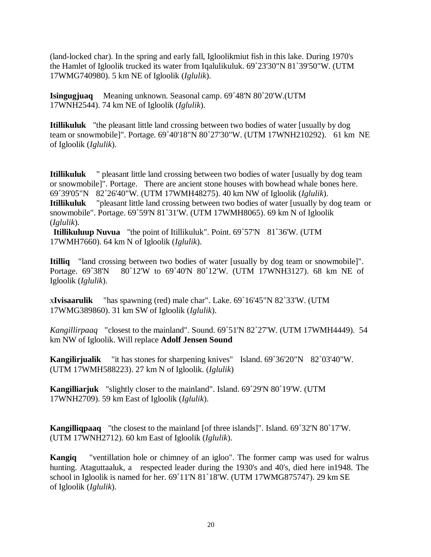(land-locked char). In the spring and early fall, Igloolikmiut fish in this lake. During 1970's the Hamlet of Igloolik trucked its water from Iqalulikuluk. 69˚23'30"N 81˚39'50"W. (UTM 17WMG740980). 5 km NE of Igloolik (*Iglulik*).

**Isingugjuaq** Meaning unknown. Seasonal camp. 69˚48'N 80˚20'W.(UTM 17WNH2544). 74 km NE of Igloolik (*Iglulik*).

**Itillikuluk** "the pleasant little land crossing between two bodies of water [usually by dog team or snowmobile]". Portage. 69˚40'18"N 80˚27'30"W. (UTM 17WNH210292). 61 km NE of Igloolik (*Iglulik*).

**Itillikuluk** " pleasant little land crossing between two bodies of water [usually by dog team or snowmobile]". Portage. There are ancient stone houses with bowhead whale bones here. 69˚39'05"N 82˚26'40"W. (UTM 17WMH48275). 40 km NW of Igloolik (*Iglulik*). **Itillikuluk** "pleasant little land crossing between two bodies of water [usually by dog team or snowmobile". Portage. 69˚59'N 81˚31'W. (UTM 17WMH8065). 69 km N of Igloolik (*Iglulik*).

**Itillikuluup Nuvua** "the point of Itillikuluk". Point. 69˚57'N 81˚36'W. (UTM 17WMH7660). 64 km N of Igloolik (*Iglulik*).

**Itilliq** "land crossing between two bodies of water [usually by dog team or snowmobile]". Portage. 69°38'N 80°12'W to 69°40'N 80°12'W. (UTM 17WNH3127). 68 km NE of Igloolik (*Iglulik*).

x**Ivisaarulik** "has spawning (red) male char". Lake. 69˚16'45"N 82˚33'W. (UTM 17WMG389860). 31 km SW of Igloolik (*Iglulik*).

*Kangillirpaaq* "closest to the mainland". Sound. 69˚51'N 82˚27'W. (UTM 17WMH4449). 54 km NW of Igloolik. Will replace **Adolf Jensen Sound**

**Kangilirjualik** "it has stones for sharpening knives" Island. 69˚36'20"N 82˚03'40"W. (UTM 17WMH588223). 27 km N of Igloolik. (*Iglulik*)

**Kangilliarjuk** "slightly closer to the mainland". Island. 69˚29'N 80˚19'W. (UTM 17WNH2709). 59 km East of Igloolik (*Iglulik*).

**Kangilliqpaaq** "the closest to the mainland [of three islands]". Island. 69˚32'N 80˚17'W. (UTM 17WNH2712). 60 km East of Igloolik (*Iglulik*).

**Kangiq** "ventillation hole or chimney of an igloo". The former camp was used for walrus hunting. Ataguttaaluk, a respected leader during the 1930's and 40's, died here in1948. The school in Igloolik is named for her. 69˚11'N 81˚18'W. (UTM 17WMG875747). 29 km SE of Igloolik (*Iglulik*).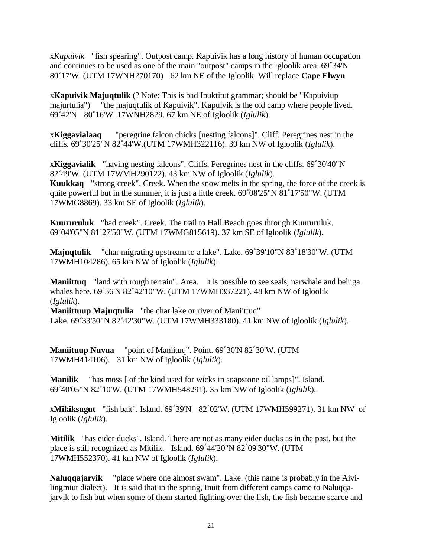x*Kapuivik* "fish spearing". Outpost camp. Kapuivik has a long history of human occupation and continues to be used as one of the main "outpost" camps in the Igloolik area. 69˚34'N 80˚17'W. (UTM 17WNH270170) 62 km NE of the Igloolik. Will replace **Cape Elwyn**

x**Kapuivik Majuqtulik** (? Note: This is bad Inuktitut grammar; should be "Kapuiviup majurtulia") "the majuqtulik of Kapuivik". Kapuivik is the old camp where people lived. 69˚42'N 80˚16'W. 17WNH2829. 67 km NE of Igloolik (*Iglulik*).

x**Kiggavialaaq** "peregrine falcon chicks [nesting falcons]". Cliff. Peregrines nest in the cliffs. 69˚30'25"N 82˚44'W.(UTM 17WMH322116). 39 km NW of Igloolik (*Iglulik*).

x**Kiggavialik** "having nesting falcons". Cliffs. Peregrines nest in the cliffs. 69˚30'40"N 82˚49'W. (UTM 17WMH290122). 43 km NW of Igloolik (*Iglulik*). **Kuukkaq** "strong creek". Creek. When the snow melts in the spring, the force of the creek is quite powerful but in the summer, it is just a little creek. 69˚08'25"N 81˚17'50"W. (UTM 17WMG8869). 33 km SE of Igloolik (*Iglulik*).

**Kuururuluk** "bad creek". Creek. The trail to Hall Beach goes through Kuururuluk. 69˚04'05"N 81˚27'50"W. (UTM 17WMG815619). 37 km SE of Igloolik (*Iglulik*).

**Majuqtulik** "char migrating upstream to a lake". Lake. 69˚39'10"N 83˚18'30"W. (UTM 17WMH104286). 65 km NW of Igloolik (*Iglulik*).

**Maniittuq** "land with rough terrain". Area. It is possible to see seals, narwhale and beluga whales here. 69˚36'N 82˚42'10"W. (UTM 17WMH337221). 48 km NW of Igloolik (*Iglulik*).

**Maniittuup Majuqtulia** "the char lake or river of Maniittuq" Lake. 69˚33'50"N 82˚42'30"W. (UTM 17WMH333180). 41 km NW of Igloolik (*Iglulik*).

**Maniituup Nuvua** "point of Maniituq". Point. 69˚30'N 82˚30'W. (UTM 17WMH414106). 31 km NW of Igloolik (*Iglulik*).

**Manilik** "has moss [ of the kind used for wicks in soapstone oil lamps]". Island. 69˚40'05"N 82˚10'W. (UTM 17WMH548291). 35 km NW of Igloolik (*Iglulik*).

x**Mikiksugut** "fish bait". Island. 69˚39'N 82˚02'W. (UTM 17WMH599271). 31 km NW of Igloolik (*Iglulik*).

**Mitilik** "has eider ducks". Island. There are not as many eider ducks as in the past, but the place is still recognized as Mitilik. Island. 69˚44'20"N 82˚09'30"W. (UTM 17WMH552370). 41 km NW of Igloolik (*Iglulik*).

**Naluqqajarvik** "place where one almost swam". Lake. (this name is probably in the Aivilingmiut dialect). It is said that in the spring, Inuit from different camps came to Naluqqajarvik to fish but when some of them started fighting over the fish, the fish became scarce and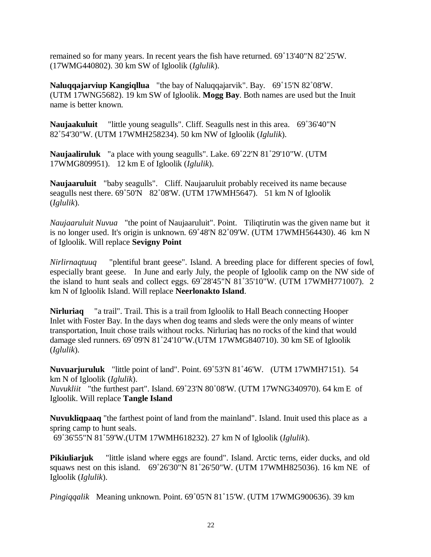remained so for many years. In recent years the fish have returned. 69˚13'40"N 82˚25'W. (17WMG440802). 30 km SW of Igloolik (*Iglulik*).

**Naluqqajarviup Kangiqllua** "the bay of Naluqqajarvik". Bay. 69˚15'N 82˚08'W. (UTM 17WNG5682). 19 km SW of Igloolik. **Mogg Bay**. Both names are used but the Inuit name is better known.

**Naujaakuluit** "little young seagulls". Cliff. Seagulls nest in this area. 69˚36'40"N 82˚54'30"W. (UTM 17WMH258234). 50 km NW of Igloolik (*Iglulik*).

**Naujaaliruluk** "a place with young seagulls". Lake. 69˚22'N 81˚29'10"W. (UTM 17WMG809951). 12 km E of Igloolik (*Iglulik*).

**Naujaaruluit** "baby seagulls". Cliff. Naujaaruluit probably received its name because seagulls nest there. 69°50'N 82°08'W. (UTM 17WMH5647). 51 km N of Igloolik (*Iglulik*).

*Naujaaruluit Nuvua* "the point of Naujaaruluit". Point. Tiliqtirutin was the given name but it is no longer used. It's origin is unknown. 69˚48'N 82˚09'W. (UTM 17WMH564430). 46 km N of Igloolik. Will replace **Sevigny Point**

*Nirlirnaqtuuq* "plentiful brant geese". Island. A breeding place for different species of fowl, especially brant geese. In June and early July, the people of Igloolik camp on the NW side of the island to hunt seals and collect eggs. 69˚28'45"N 81˚35'10"W. (UTM 17WMH771007). 2 km N of Igloolik Island. Will replace **Neerlonakto Island**.

**Nirluriaq** "a trail". Trail. This is a trail from Igloolik to Hall Beach connecting Hooper Inlet with Foster Bay. In the days when dog teams and sleds were the only means of winter transportation, Inuit chose trails without rocks. Nirluriaq has no rocks of the kind that would damage sled runners. 69˚09'N 81˚24'10"W.(UTM 17WMG840710). 30 km SE of Igloolik (*Iglulik*).

**Nuvuarjuruluk** "little point of land". Point. 69˚53'N 81˚46'W. (UTM 17WMH7151). 54 km N of Igloolik (*Iglulik*). *Nuvukliit* "the furthest part". Island. 69˚23'N 80˚08'W. (UTM 17WNG340970). 64 km E of Igloolik. Will replace **Tangle Island**

**Nuvukliqpaaq** "the farthest point of land from the mainland". Island. Inuit used this place as a spring camp to hunt seals. 69˚36'55"N 81˚59'W.(UTM 17WMH618232). 27 km N of Igloolik (*Iglulik*).

**Pikiuliarjuk** "little island where eggs are found". Island. Arctic terns, eider ducks, and old squaws nest on this island. 69˚26'30"N 81˚26'50"W. (UTM 17WMH825036). 16 km NE of Igloolik (*Iglulik*).

*Pingiqqalik* Meaning unknown. Point. 69˚05'N 81˚15'W. (UTM 17WMG900636). 39 km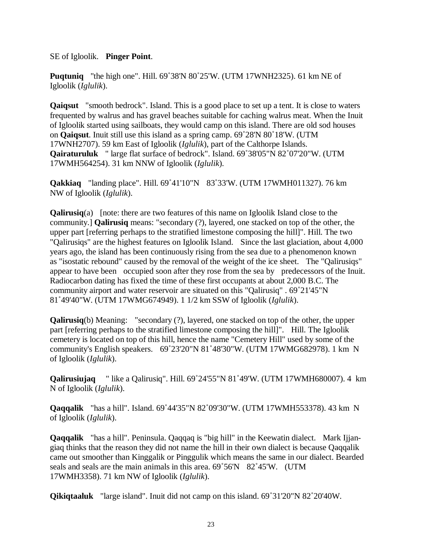SE of Igloolik. **Pinger Point**.

**Puqtuniq** "the high one". Hill. 69˚38'N 80˚25'W. (UTM 17WNH2325). 61 km NE of Igloolik (*Iglulik*).

**Qaiqsut** "smooth bedrock". Island. This is a good place to set up a tent. It is close to waters frequented by walrus and has gravel beaches suitable for caching walrus meat. When the Inuit of Igloolik started using sailboats, they would camp on this island. There are old sod houses on **Qaiqsut**. Inuit still use this island as a spring camp. 69˚28'N 80˚18'W. (UTM 17WNH2707). 59 km East of Igloolik (*Iglulik*), part of the Calthorpe Islands. **Qairaturuluk** " large flat surface of bedrock". Island. 69˚38'05"N 82˚07'20"W. (UTM 17WMH564254). 31 km NNW of Igloolik (*Iglulik*).

**Qakkiaq** "landing place". Hill. 69˚41'10"N 83˚33'W. (UTM 17WMH011327). 76 km NW of Igloolik (*Iglulik*).

**Qalirusiq**(a) [note: there are two features of this name on Igloolik Island close to the community.] **Qalirusiq** means: "secondary (?), layered, one stacked on top of the other, the upper part [referring perhaps to the stratified limestone composing the hill]". Hill. The two "Qalirusiqs" are the highest features on Igloolik Island. Since the last glaciation, about 4,000 years ago, the island has been continuously rising from the sea due to a phenomenon known as "isostatic rebound" caused by the removal of the weight of the ice sheet. The "Qalirusiqs" appear to have been occupied soon after they rose from the sea by predecessors of the Inuit. Radiocarbon dating has fixed the time of these first occupants at about 2,000 B.C. The community airport and water reservoir are situated on this "Qalirusiq" . 69˚21'45"N 81˚49'40"W. (UTM 17WMG674949). 1 1/2 km SSW of Igloolik (*Iglulik*).

**Qalirusiq**(b) Meaning: "secondary (?), layered, one stacked on top of the other, the upper part [referring perhaps to the stratified limestone composing the hill]". Hill. The Igloolik cemetery is located on top of this hill, hence the name "Cemetery Hill" used by some of the community's English speakers. 69˚23'20"N 81˚48'30"W. (UTM 17WMG682978). 1 km N of Igloolik (*Iglulik*).

**Qalirusiujaq** " like a Qalirusiq". Hill. 69˚24'55"N 81˚49'W. (UTM 17WMH680007). 4 km N of Igloolik (*Iglulik*).

**Qaqqalik** "has a hill". Island. 69˚44'35"N 82˚09'30"W. (UTM 17WMH553378). 43 km N of Igloolik (*Iglulik*).

**Qaqqalik** "has a hill". Peninsula. Qaqqaq is "big hill" in the Keewatin dialect. Mark Ijjangiaq thinks that the reason they did not name the hill in their own dialect is because Qaqqalik came out smoother than Kinggalik or Pinggulik which means the same in our dialect. Bearded seals and seals are the main animals in this area. 69°56'N 82°45'W. (UTM 17WMH3358). 71 km NW of Igloolik (*Iglulik*).

**Qikiqtaaluk** "large island". Inuit did not camp on this island. 69˚31'20"N 82˚20'40W.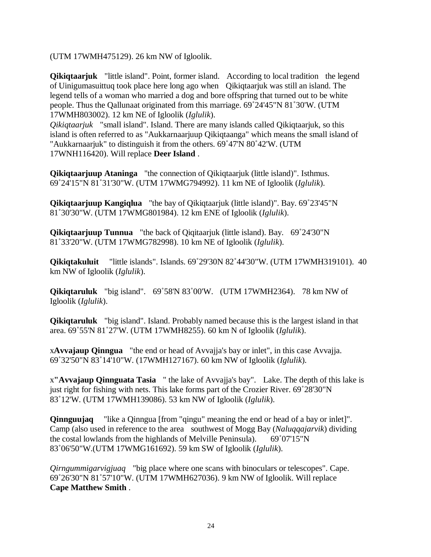(UTM 17WMH475129). 26 km NW of Igloolik.

**Qikiqtaarjuk** "little island". Point, former island. According to local tradition the legend of Uinigumasuittuq took place here long ago when Qikiqtaarjuk was still an island. The legend tells of a woman who married a dog and bore offspring that turned out to be white people. Thus the Qallunaat originated from this marriage. 69˚24'45"N 81˚30'W. (UTM 17WMH803002). 12 km NE of Igloolik (*Iglulik*).

*Qikiqtaarjuk* "small island". Island. There are many islands called Qikiqtaarjuk, so this island is often referred to as "Aukkarnaarjuup Qikiqtaanga" which means the small island of "Aukkarnaarjuk" to distinguish it from the others. 69˚47'N 80˚42'W. (UTM 17WNH116420). Will replace **Deer Island** .

**Qikiqtaarjuup Ataninga** "the connection of Qikiqtaarjuk (little island)". Isthmus. 69˚24'15"N 81˚31'30"W. (UTM 17WMG794992). 11 km NE of Igloolik (*Iglulik*).

**Qikiqtaarjuup Kangiqlua** "the bay of Qikiqtaarjuk (little island)". Bay. 69˚23'45"N 81˚30'30"W. (UTM 17WMG801984). 12 km ENE of Igloolik (*Iglulik*).

**Qikiqtaarjuup Tunnua** "the back of Qiqitaarjuk (little island). Bay. 69˚24'30"N 81˚33'20"W. (UTM 17WMG782998). 10 km NE of Igloolik (*Iglulik*).

**Qikiqtakuluit** "little islands". Islands. 69˚29'30N 82˚44'30"W. (UTM 17WMH319101). 40 km NW of Igloolik (*Iglulik*).

**Qikiqtaruluk** "big island". 69˚58'N 83˚00'W. (UTM 17WMH2364). 78 km NW of Igloolik (*Iglulik*).

**Qikiqtaruluk** "big island". Island. Probably named because this is the largest island in that area. 69˚55'N 81˚27'W. (UTM 17WMH8255). 60 km N of Igloolik (*Iglulik*).

x**Avvajaup Qinngua** "the end or head of Avvajja's bay or inlet", in this case Avvajja. 69˚32'50"N 83˚14'10"W. (17WMH127167). 60 km NW of Igloolik (*Iglulik*).

x**"Avvajaup Qinnguata Tasia** " the lake of Avvajja's bay". Lake. The depth of this lake is just right for fishing with nets. This lake forms part of the Crozier River. 69˚28'30"N 83˚12'W. (UTM 17WMH139086). 53 km NW of Igloolik (*Iglulik*).

**Qinnguujaq** "like a Qinngua [from "qingu" meaning the end or head of a bay or inlet]". Camp (also used in reference to the area southwest of Mogg Bay (*Naluqqajarvik*) dividing the costal lowlands from the highlands of Melville Peninsula).  $69°07'15''N$ 83˚06'50"W.(UTM 17WMG161692). 59 km SW of Igloolik (*Iglulik*).

*Qirngummigarvigjuaq* "big place where one scans with binoculars or telescopes". Cape. 69˚26'30"N 81˚57'10"W. (UTM 17WMH627036). 9 km NW of Igloolik. Will replace **Cape Matthew Smith** .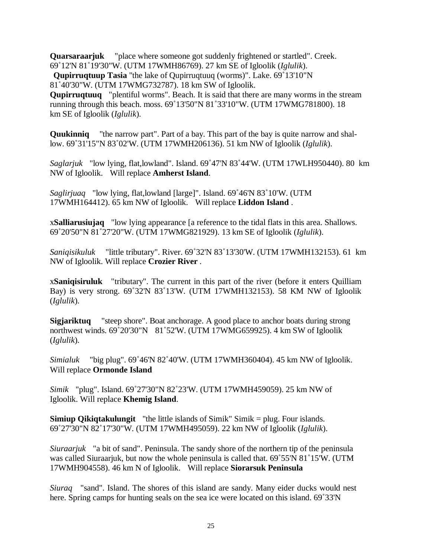**Quarsaraarjuk** "place where someone got suddenly frightened or startled". Creek. 69˚12'N 81˚19'30"W. (UTM 17WMH86769). 27 km SE of Igloolik (*Iglulik*).

**Qupirruqtuup Tasia** "the lake of Qupirruqtuuq (worms)". Lake. 69˚13'10"N

81˚40'30"W. (UTM 17WMG732787). 18 km SW of Igloolik.

**Qupirruqtuuq** "plentiful worms". Beach. It is said that there are many worms in the stream running through this beach. moss. 69˚13'50"N 81˚33'10"W. (UTM 17WMG781800). 18 km SE of Igloolik (*Iglulik*).

**Quukinniq** "the narrow part". Part of a bay. This part of the bay is quite narrow and shallow. 69˚31'15"N 83˚02'W. (UTM 17WMH206136). 51 km NW of Igloolik (*Iglulik*).

*Saglarjuk* "low lying, flat,lowland". Island. 69˚47'N 83˚44'W. (UTM 17WLH950440). 80 km NW of Igloolik. Will replace **Amherst Island**.

*Saglirjuaq* "low lying, flat,lowland [large]". Island. 69˚46'N 83˚10'W. (UTM 17WMH164412). 65 km NW of Igloolik. Will replace **Liddon Island** .

x**Salliarusiujaq** "low lying appearance [a reference to the tidal flats in this area. Shallows. 69˚20'50"N 81˚27'20"W. (UTM 17WMG821929). 13 km SE of Igloolik (*Iglulik*).

*Saniqisikuluk* "little tributary". River. 69˚32'N 83˚13'30'W. (UTM 17WMH132153). 61 km NW of Igloolik. Will replace **Crozier River** .

x**Saniqisiruluk** "tributary". The current in this part of the river (before it enters Quilliam Bay) is very strong. 69˚32'N 83˚13'W. (UTM 17WMH132153). 58 KM NW of Igloolik (*Iglulik*).

**Sigjariktuq** "steep shore". Boat anchorage. A good place to anchor boats during strong northwest winds. 69˚20'30"N 81˚52'W. (UTM 17WMG659925). 4 km SW of Igloolik (*Iglulik*).

*Simialuk* "big plug". 69˚46'N 82˚40'W. (UTM 17WMH360404). 45 km NW of Igloolik. Will replace **Ormonde Island**

*Simik* "plug". Island. 69˚27'30"N 82˚23'W. (UTM 17WMH459059). 25 km NW of Igloolik. Will replace **Khemig Island**.

**Simiup Qikiqtakulungit** "the little islands of Simik" Simik = plug. Four islands. 69˚27'30"N 82˚17'30"W. (UTM 17WMH495059). 22 km NW of Igloolik (*Iglulik*).

*Siuraarjuk* "a bit of sand". Peninsula. The sandy shore of the northern tip of the peninsula was called Siuraarjuk, but now the whole peninsula is called that. 69˚55'N 81˚15'W. (UTM 17WMH904558). 46 km N of Igloolik. Will replace **Siorarsuk Peninsula**

*Siuraq* "sand". Island. The shores of this island are sandy. Many eider ducks would nest here. Spring camps for hunting seals on the sea ice were located on this island. 69˚33'N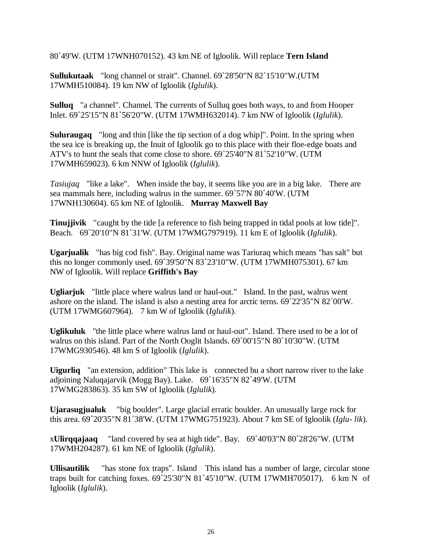80˚49'W. (UTM 17WNH070152). 43 km NE of Igloolik. Will replace **Tern Island**

**Sullukutaak** "long channel or strait". Channel. 69˚28'50"N 82˚15'10"W.(UTM 17WMH510084). 19 km NW of Igloolik (*Iglulik*).

**Sulluq** "a channel". Channel. The currents of Sulluq goes both ways, to and from Hooper Inlet. 69˚25'15"N 81˚56'20"W. (UTM 17WMH632014). 7 km NW of Igloolik (*Iglulik*).

**Suluraugaq** "long and thin [like the tip section of a dog whip]". Point. In the spring when the sea ice is breaking up, the Inuit of Igloolik go to this place with their floe-edge boats and ATV's to hunt the seals that come close to shore. 69˚25'40"N 81˚52'10"W. (UTM 17WMH659023). 6 km NNW of Igloolik (*Iglulik*).

*Tasiujaq* "like a lake". When inside the bay, it seems like you are in a big lake. There are sea mammals here, including walrus in the summer. 69˚57'N 80˚40'W. (UTM 17WNH130604). 65 km NE of Igloolik. **Murray Maxwell Bay**

**Tinujjivik** "caught by the tide [a reference to fish being trapped in tidal pools at low tide]". Beach. 69˚20'10"N 81˚31'W. (UTM 17WMG797919). 11 km E of Igloolik (*Iglulik*).

**Ugarjualik** "has big cod fish". Bay. Original name was Tariuraq which means "has salt" but this no longer commonly used. 69˚39'50"N 83˚23'10"W. (UTM 17WMH075301). 67 km NW of Igloolik. Will replace **Griffith's Bay**

**Ugliarjuk** "little place where walrus land or haul-out." Island. In the past, walrus went ashore on the island. The island is also a nesting area for arctic terns. 69˚22'35"N 82˚00'W. (UTM 17WMG607964). 7 km W of Igloolik (*Iglulik*).

**Uglikuluk** "the little place where walrus land or haul-out". Island. There used to be a lot of walrus on this island. Part of the North Ooglit Islands. 69˚00'15"N 80˚10'30"W. (UTM 17WMG930546). 48 km S of Igloolik (*Iglulik*).

**Uigurliq** "an extension, addition" This lake is connected bu a short narrow river to the lake adjoining Naluqajarvik (Mogg Bay). Lake. 69˚16'35"N 82˚49'W. (UTM 17WMG283863). 35 km SW of Igloolik (*Iglulik*).

**Ujarasugjualuk** "big boulder". Large glacial erratic boulder. An unusually large rock for this area. 69˚20'35"N 81˚38'W. (UTM 17WMG751923). About 7 km SE of Igloolik (*Iglu- lik*).

x**Ulirqqajaaq** "land covered by sea at high tide". Bay. 69˚40'03"N 80˚28'26"W. (UTM 17WMH204287). 61 km NE of Igloolik (*Iglulik*).

**Ullisautilik** "has stone fox traps". Island This island has a number of large, circular stone traps built for catching foxes. 69˚25'30"N 81˚45'10"W. (UTM 17WMH705017). 6 km N of Igloolik (*Iglulik*).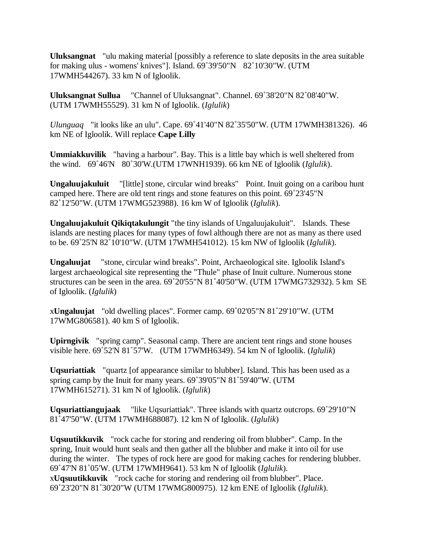**Uluksangnat** "ulu making material [possibly a reference to slate deposits in the area suitable for making ulus - womens' knives"]. Island. 69˚39'50"N 82˚10'30"W. (UTM 17WMH544267). 33 km N of Igloolik.

**Uluksangnat Sullua** "Channel of Uluksangnat". Channel. 69˚38'20"N 82˚08'40"W. (UTM 17WMH55529). 31 km N of Igloolik. (*Iglulik*)

*Ulunguaq* "it looks like an ulu". Cape. 69˚41'40"N 82˚35'50"W. (UTM 17WMH381326). 46 km NE of Igloolik. Will replace **Cape Lilly**

**Ummiakkuvilik** "having a harbour". Bay. This is a little bay which is well sheltered from the wind. 69˚46'N 80˚30'W.(UTM 17WNH1939). 66 km NE of Igloolik (*Iglulik*).

**Ungaluujakuluit** "[little] stone, circular wind breaks" Point. Inuit going on a caribou hunt camped here. There are old tent rings and stone features on this point. 69˚23'45"N 82˚12'50"W. (UTM 17WMG523988). 16 km W of Igloolik (*Iglulik*).

**Ungaluujakuluit Qikiqtakulungit** "the tiny islands of Ungaluujakuluit". Islands. These islands are nesting places for many types of fowl although there are not as many as there used to be. 69˚25'N 82˚10'10"W. (UTM 17WMH541012). 15 km NW of Igloolik (*Iglulik*).

**Ungaluujat** "stone, circular wind breaks". Point, Archaeological site. Igloolik Island's largest archaeological site representing the "Thule" phase of Inuit culture. Numerous stone structures can be seen in the area. 69˚20'55"N 81˚40'50"W. (UTM 17WMG732932). 5 km SE of Igloolik. (*Iglulik*)

x**Ungaluujat** "old dwelling places". Former camp. 69˚02'05"N 81˚29'10"W. (UTM 17WMG806581). 40 km S of Igloolik.

**Upirngivik** "spring camp". Seasonal camp. There are ancient tent rings and stone houses visible here. 69˚52'N 81˚57'W. (UTM 17WMH6349). 54 km N of Igloolik. (*Iglulik*)

**Uqsuriattiak** "quartz [of appearance similar to blubber]. Island. This has been used as a spring camp by the Inuit for many years. 69˚39'05"N 81˚59'40"W. (UTM 17WMH615271). 31 km N of Igloolik. (*Iglulik*)

**Uqsuriattiangujaak** "like Uqsuriattiak". Three islands with quartz outcrops. 69˚29'10"N 81˚47'50"W. (UTM 17WMH688087). 12 km N of Igloolik. (*Iglulik*)

**Uqsuutikkuvik** "rock cache for storing and rendering oil from blubber". Camp. In the spring, Inuit would hunt seals and then gather all the blubber and make it into oil for use during the winter. The types of rock here are good for making caches for rendering blubber. 69˚47'N 81˚05'W. (UTM 17WMH9641). 53 km N of Igloolik (*Iglulik*). x**Uqsuutikkuvik** "rock cache for storing and rendering oil from blubber". Place. 69˚23'20"N 81˚30'20"W (UTM 17WMG800975). 12 km ENE of Igloolik (*Iglulik*).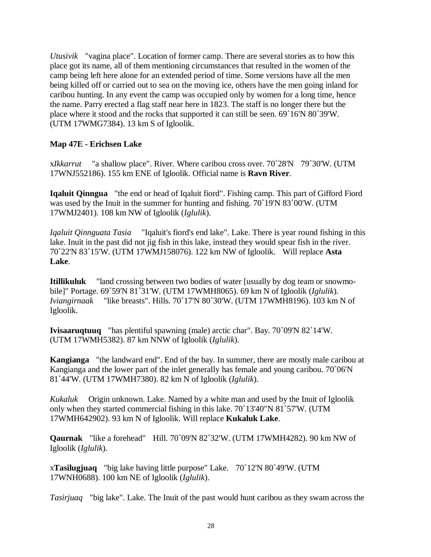*Utusivik* "vagina place". Location of former camp. There are several stories as to how this place got its name, all of them mentioning circumstances that resulted in the women of the camp being left here alone for an extended period of time. Some versions have all the men being killed off or carried out to sea on the moving ice, others have the men going inland for caribou hunting. In any event the camp was occupied only by women for a long time, hence the name. Parry erected a flag staff near here in 1823. The staff is no longer there but the place where it stood and the rocks that supported it can still be seen. 69˚16'N 80˚39'W. (UTM 17WMG7384). 13 km S of Igloolik.

#### **Map 47E - Erichsen Lake**

x*Ikkarrut* "a shallow place". River. Where caribou cross over. 70˚28'N 79˚30'W. (UTM 17WNJ552186). 155 km ENE of Igloolik. Official name is **Ravn River**.

**Iqaluit Qinngua** "the end or head of Iqaluit fiord". Fishing camp. This part of Gifford Fiord was used by the Inuit in the summer for hunting and fishing. 70˚19'N 83˚00'W. (UTM 17WMJ2401). 108 km NW of Igloolik (*Iglulik*).

*Iqaluit Qinnguata Tasia* "Iqaluit's fiord's end lake". Lake. There is year round fishing in this lake. Inuit in the past did not jig fish in this lake, instead they would spear fish in the river. 70˚22'N 83˚15'W. (UTM 17WMJ158076). 122 km NW of Igloolik. Will replace **Asta Lake**.

**Itillikuluk** "land crossing between two bodies of water [usually by dog team or snowmobile]" Portage. 69˚59'N 81˚31'W. (UTM 17WMH8065). 69 km N of Igloolik (*Iglulik*). *Iviangirnaak* "like breasts". Hills. 70˚17'N 80˚30'W. (UTM 17WMH8196). 103 km N of Igloolik.

**Ivisaaruqtuuq** "has plentiful spawning (male) arctic char". Bay. 70˚09'N 82˚14'W. (UTM 17WMH5382). 87 km NNW of Igloolik (*Iglulik*).

**Kangianga** "the landward end". End of the bay. In summer, there are mostly male caribou at Kangianga and the lower part of the inlet generally has female and young caribou. 70˚06'N 81˚44'W. (UTM 17WMH7380). 82 km N of Igloolik (*Iglulik*).

*Kukaluk* Origin unknown. Lake. Named by a white man and used by the Inuit of Igloolik only when they started commercial fishing in this lake. 70˚13'40"N 81˚57'W. (UTM 17WMH642902). 93 km N of Igloolik. Will replace **Kukaluk Lake**.

**Qaurnak** "like a forehead" Hill. 70˚09'N 82˚32'W. (UTM 17WMH4282). 90 km NW of Igloolik (*Iglulik*).

x**Tasilugjuaq** "big lake having little purpose" Lake. 70˚12'N 80˚49'W. (UTM 17WNH0688). 100 km NE of Igloolik (*Iglulik*).

*Tasirjuaq* "big lake". Lake. The Inuit of the past would hunt caribou as they swam across the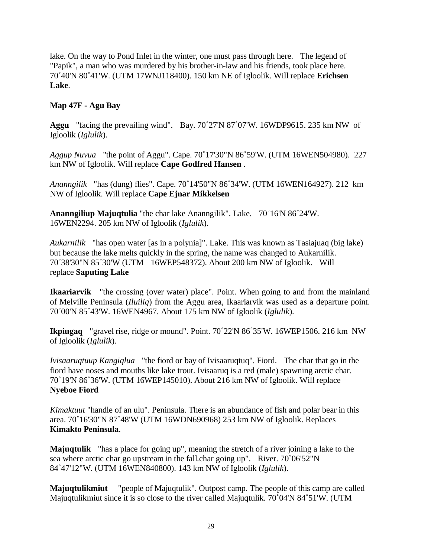lake. On the way to Pond Inlet in the winter, one must pass through here. The legend of "Papik", a man who was murdered by his brother-in-law and his friends, took place here. 70˚40'N 80˚41'W. (UTM 17WNJ118400). 150 km NE of Igloolik. Will replace **Erichsen Lake**.

# **Map 47F - Agu Bay**

**Aggu** "facing the prevailing wind". Bay. 70˚27'N 87˚07'W. 16WDP9615. 235 km NW of Igloolik (*Iglulik*).

*Aggup Nuvua* "the point of Aggu". Cape. 70˚17'30"N 86˚59'W. (UTM 16WEN504980). 227 km NW of Igloolik. Will replace **Cape Godfred Hansen** .

*Ananngilik* "has (dung) flies". Cape. 70˚14'50"N 86˚34'W. (UTM 16WEN164927). 212 km NW of Igloolik. Will replace **Cape Ejnar Mikkelsen**

**Ananngiliup Majuqtulia** "the char lake Ananngilik". Lake. 70˚16'N 86˚24'W. 16WEN2294. 205 km NW of Igloolik (*Iglulik*).

*Aukarnilik* "has open water [as in a polynia]". Lake. This was known as Tasiajuaq (big lake) but because the lake melts quickly in the spring, the name was changed to Aukarnilik. 70˚38'30"N 85˚30'W (UTM 16WEP548372). About 200 km NW of Igloolik. Will replace **Saputing Lake**

**Ikaariarvik** "the crossing (over water) place". Point. When going to and from the mainland of Melville Peninsula (*Iluiliq*) from the Aggu area, Ikaariarvik was used as a departure point. 70˚00'N 85˚43'W. 16WEN4967. About 175 km NW of Igloolik (*Iglulik*).

**Ikpiugaq** "gravel rise, ridge or mound". Point. 70˚22'N 86˚35'W. 16WEP1506. 216 km NW of Igloolik (*Iglulik*).

*Ivisaaruqtuup Kangiqlua* "the fiord or bay of Ivisaaruqtuq". Fiord. The char that go in the fiord have noses and mouths like lake trout. Ivisaaruq is a red (male) spawning arctic char. 70˚19'N 86˚36'W. (UTM 16WEP145010). About 216 km NW of Igloolik. Will replace **Nyeboe Fiord**

*Kimaktuut* "handle of an ulu". Peninsula. There is an abundance of fish and polar bear in this area. 70˚16'30"N 87˚48'W (UTM 16WDN690968) 253 km NW of Igloolik. Replaces **Kimakto Peninsula**.

**Majuqtulik** "has a place for going up", meaning the stretch of a river joining a lake to the sea where arctic char go upstream in the fall.char going up". River. 70˚06'52"N 84˚47'12"W. (UTM 16WEN840800). 143 km NW of Igloolik (*Iglulik*).

**Majuqtulikmiut** "people of Majuqtulik". Outpost camp. The people of this camp are called Majuqtulikmiut since it is so close to the river called Majuqtulik. 70˚04'N 84˚51'W. (UTM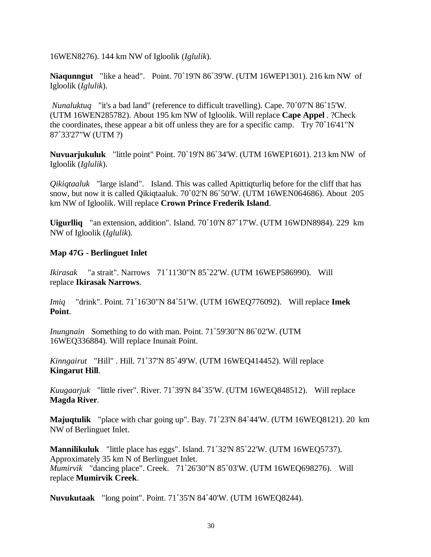16WEN8276). 144 km NW of Igloolik (*Iglulik*).

**Niaqunngut** "like a head". Point. 70˚19'N 86˚39'W. (UTM 16WEP1301). 216 km NW of Igloolik (*Iglulik*).

*Nunaluktuq* "it's a bad land" (reference to difficult travelling). Cape. 70˚07'N 86˚15'W. (UTM 16WEN285782). About 195 km NW of Igloolik. Will replace **Cape Appel** . ?Check the coordinates, these appear a bit off unless they are for a specific camp. Try 70˚16'41"N 87˚33'27"W (UTM ?)

**Nuvuarjukuluk** "little point" Point. 70˚19'N 86˚34'W. (UTM 16WEP1601). 213 km NW of Igloolik (*Iglulik*).

*Qikiqtaaluk* "large island". Island. This was called Apittiqturliq before for the cliff that has snow, but now it is called Qikiqtaaluk. 70˚02'N 86˚50'W. (UTM 16WEN064686). About 205 km NW of Igloolik. Will replace **Crown Prince Frederik Island**.

**Uigurlliq** "an extension, addition". Island. 70˚10'N 87˚17'W. (UTM 16WDN8984). 229 km NW of Igloolik (*Iglulik*).

#### **Map 47G - Berlinguet Inlet**

*Ikirasak* "a strait". Narrows 71˚11'30"N 85˚22'W. (UTM 16WEP586990). Will replace **Ikirasak Narrows**.

*Imiq* "drink". Point. 71˚16'30"N 84˚51'W. (UTM 16WEQ776092). Will replace **Imek Point**.

*Inungnain* Something to do with man. Point. 71˚59'30"N 86˚02'W. (UTM 16WEQ336884). Will replace Inunait Point.

*Kinngairut* "Hill" . Hill. 71˚37'N 85˚49'W. (UTM 16WEQ414452). Will replace **Kingarut Hill**.

*Kuugaarjuk* "little river". River. 71˚39'N 84˚35'W. (UTM 16WEQ848512). Will replace **Magda River**.

**Majuqtulik** "place with char going up". Bay. 71˚23'N 84˚44'W. (UTM 16WEQ8121). 20 km NW of Berlinguet Inlet.

**Mannilikuluk** "little place has eggs". Island. 71˚32'N 85˚22'W. (UTM 16WEQ5737). Approximately 35 km N of Berlinguet Inlet. *Mumirvik* "dancing place". Creek. 71˚26'30"N 85˚03'W. (UTM 16WEQ698276). Will replace **Mumirvik Creek**.

**Nuvukutaak** "long point". Point. 71˚35'N 84˚40'W. (UTM 16WEQ8244).